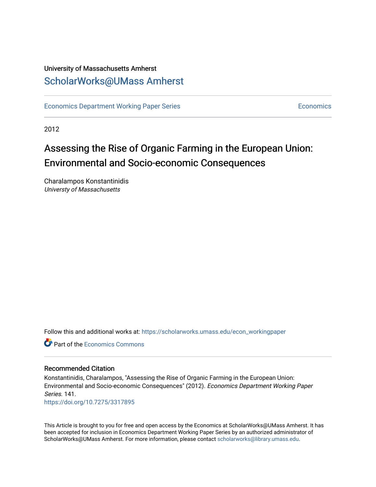## University of Massachusetts Amherst [ScholarWorks@UMass Amherst](https://scholarworks.umass.edu/)

[Economics Department Working Paper Series](https://scholarworks.umass.edu/econ_workingpaper) **Economics** [Economics](https://scholarworks.umass.edu/economics) Economics

2012

## Assessing the Rise of Organic Farming in the European Union: Environmental and Socio-economic Consequences

Charalampos Konstantinidis Universty of Massachusetts

Follow this and additional works at: [https://scholarworks.umass.edu/econ\\_workingpaper](https://scholarworks.umass.edu/econ_workingpaper?utm_source=scholarworks.umass.edu%2Fecon_workingpaper%2F141&utm_medium=PDF&utm_campaign=PDFCoverPages) 

**C** Part of the [Economics Commons](http://network.bepress.com/hgg/discipline/340?utm_source=scholarworks.umass.edu%2Fecon_workingpaper%2F141&utm_medium=PDF&utm_campaign=PDFCoverPages)

### Recommended Citation

Konstantinidis, Charalampos, "Assessing the Rise of Organic Farming in the European Union: Environmental and Socio-economic Consequences" (2012). Economics Department Working Paper Series. 141.

<https://doi.org/10.7275/3317895>

This Article is brought to you for free and open access by the Economics at ScholarWorks@UMass Amherst. It has been accepted for inclusion in Economics Department Working Paper Series by an authorized administrator of ScholarWorks@UMass Amherst. For more information, please contact [scholarworks@library.umass.edu.](mailto:scholarworks@library.umass.edu)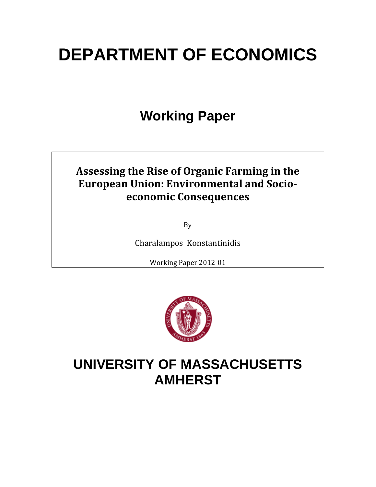# **DEPARTMENT OF ECONOMICS**

# **Working Paper**

## **Assessing the Rise of Organic Farming in the European Union: Environmental and Socioeconomic Consequences**

By

Charalampos Konstantinidis

Working Paper 2012‐01



# **UNIVERSITY OF MASSACHUSETTS AMHERST**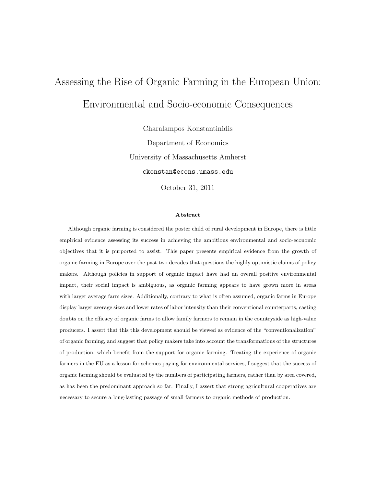# Assessing the Rise of Organic Farming in the European Union: Environmental and Socio-economic Consequences

Charalampos Konstantinidis Department of Economics University of Massachusetts Amherst ckonstan@econs.umass.edu

October 31, 2011

#### Abstract

Although organic farming is considered the poster child of rural development in Europe, there is little empirical evidence assessing its success in achieving the ambitious environmental and socio-economic objectives that it is purported to assist. This paper presents empirical evidence from the growth of organic farming in Europe over the past two decades that questions the highly optimistic claims of policy makers. Although policies in support of organic impact have had an overall positive environmental impact, their social impact is ambiguous, as organic farming appears to have grown more in areas with larger average farm sizes. Additionally, contrary to what is often assumed, organic farms in Europe display larger average sizes and lower rates of labor intensity than their conventional counterparts, casting doubts on the efficacy of organic farms to allow family farmers to remain in the countryside as high-value producers. I assert that this this development should be viewed as evidence of the "conventionalization" of organic farming, and suggest that policy makers take into account the transformations of the structures of production, which benefit from the support for organic farming. Treating the experience of organic farmers in the EU as a lesson for schemes paying for environmental services, I suggest that the success of organic farming should be evaluated by the numbers of participating farmers, rather than by area covered, as has been the predominant approach so far. Finally, I assert that strong agricultural cooperatives are necessary to secure a long-lasting passage of small farmers to organic methods of production.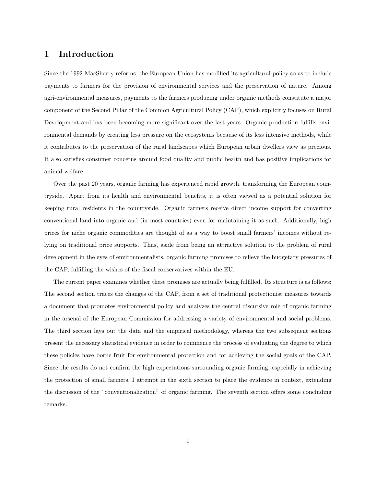## 1 Introduction

Since the 1992 MacSharry reforms, the European Union has modified its agricultural policy so as to include payments to farmers for the provision of environmental services and the preservation of nature. Among agri-environmental measures, payments to the farmers producing under organic methods constitute a major component of the Second Pillar of the Common Agricultural Policy (CAP), which explicitly focuses on Rural Development and has been becoming more significant over the last years. Organic production fulfills environmental demands by creating less pressure on the ecosystems because of its less intensive methods, while it contributes to the preservation of the rural landscapes which European urban dwellers view as precious. It also satisfies consumer concerns around food quality and public health and has positive implications for animal welfare.

Over the past 20 years, organic farming has experienced rapid growth, transforming the European countryside. Apart from its health and environmental benefits, it is often viewed as a potential solution for keeping rural residents in the countryside. Organic farmers receive direct income support for converting conventional land into organic and (in most countries) even for maintaining it as such. Additionally, high prices for niche organic commodities are thought of as a way to boost small farmers' incomes without relying on traditional price supports. Thus, aside from being an attractive solution to the problem of rural development in the eyes of environmentalists, organic farming promises to relieve the budgetary pressures of the CAP, fulfilling the wishes of the fiscal conservatives within the EU.

The current paper examines whether these promises are actually being fulfilled. Its structure is as follows: The second section traces the changes of the CAP, from a set of traditional protectionist measures towards a document that promotes environmental policy and analyzes the central discursive role of organic farming in the arsenal of the European Commission for addressing a variety of environmental and social problems. The third section lays out the data and the empirical methodology, whereas the two subsequent sections present the necessary statistical evidence in order to commence the process of evaluating the degree to which these policies have borne fruit for environmental protection and for achieving the social goals of the CAP. Since the results do not confirm the high expectations surrounding organic farming, especially in achieving the protection of small farmers, I attempt in the sixth section to place the evidence in context, extending the discussion of the "conventionalization" of organic farming. The seventh section offers some concluding remarks.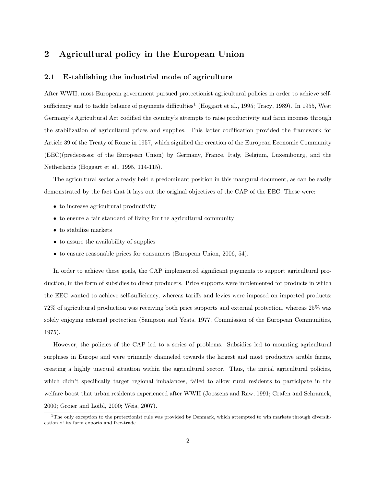## 2 Agricultural policy in the European Union

#### 2.1 Establishing the industrial mode of agriculture

After WWII, most European government pursued protectionist agricultural policies in order to achieve selfsufficiency and to tackle balance of payments difficulties<sup>1</sup> (Hoggart et al., 1995; Tracy, 1989). In 1955, West Germany's Agricultural Act codified the country's attempts to raise productivity and farm incomes through the stabilization of agricultural prices and supplies. This latter codification provided the framework for Article 39 of the Treaty of Rome in 1957, which signified the creation of the European Economic Community (EEC)(predecessor of the European Union) by Germany, France, Italy, Belgium, Luxembourg, and the Netherlands (Hoggart et al., 1995, 114-115).

The agricultural sector already held a predominant position in this inaugural document, as can be easily demonstrated by the fact that it lays out the original objectives of the CAP of the EEC. These were:

- to increase agricultural productivity
- to ensure a fair standard of living for the agricultural community
- to stabilize markets
- to assure the availability of supplies
- to ensure reasonable prices for consumers (European Union, 2006, 54).

In order to achieve these goals, the CAP implemented significant payments to support agricultural production, in the form of subsidies to direct producers. Price supports were implemented for products in which the EEC wanted to achieve self-sufficiency, whereas tariffs and levies were imposed on imported products: 72% of agricultural production was receiving both price supports and external protection, whereas 25% was solely enjoying external protection (Sampson and Yeats, 1977; Commission of the European Communities, 1975).

However, the policies of the CAP led to a series of problems. Subsidies led to mounting agricultural surpluses in Europe and were primarily channeled towards the largest and most productive arable farms, creating a highly unequal situation within the agricultural sector. Thus, the initial agricultural policies, which didn't specifically target regional imbalances, failed to allow rural residents to participate in the welfare boost that urban residents experienced after WWII (Joossens and Raw, 1991; Grafen and Schramek, 2000; Groier and Loibl, 2000; Weis, 2007).

<sup>1</sup>The only exception to the protectionist rule was provided by Denmark, which attempted to win markets through diversification of its farm exports and free-trade.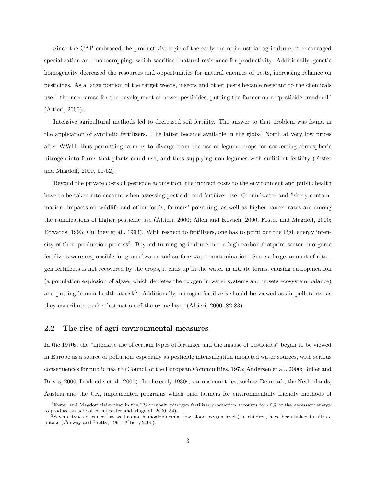Since the CAP embraced the productivist logic of the early era of industrial agriculture, it encouraged specialization and monocropping, which sacrificed natural resistance for productivity. Additionally, genetic homogeneity decreased the resources and opportunities for natural enemies of pests, increasing reliance on pesticides. As a large portion of the target weeds, insects and other pests became resistant to the chemicals used, the need arose for the development of newer pesticides, putting the farmer on a "pesticide treadmill" (Altieri, 2000).

Intensive agricultural methods led to decreased soil fertility. The answer to that problem was found in the application of synthetic fertilizers. The latter became available in the global North at very low prices after WWII, thus permitting farmers to diverge from the use of legume crops for converting atmospheric nitrogen into forms that plants could use, and thus supplying non-legumes with sufficient fertility (Foster and Magdoff, 2000, 51-52).

Beyond the private costs of pesticide acquisition, the indirect costs to the environment and public health have to be taken into account when assessing pesticide and fertilizer use. Groundwater and fishery contamination, impacts on wildlife and other foods, farmers' poisoning, as well as higher cancer rates are among the ramifications of higher pesticide use (Altieri, 2000; Allen and Kovach, 2000; Foster and Magdoff, 2000; Edwards, 1993; Culliney et al., 1993). With respect to fertilizers, one has to point out the high energy intensity of their production process<sup>2</sup>. Beyond turning agriculture into a high carbon-footprint sector, inorganic fertilizers were responsible for groundwater and surface water contamination. Since a large amount of nitrogen fertilizers is not recovered by the crops, it ends up in the water in nitrate forms, causing eutrophication (a population explosion of algae, which depletes the oxygen in water systems and upsets ecosystem balance) and putting human health at risk<sup>3</sup>. Additionally, nitrogen fertilizers should be viewed as air pollutants, as they contribute to the destruction of the ozone layer (Altieri, 2000, 82-83).

#### 2.2 The rise of agri-environmental measures

In the 1970s, the "intensive use of certain types of fertilizer and the misuse of pesticides" began to be viewed in Europe as a source of pollution, especially as pesticide intensification impacted water sources, with serious consequences for public health (Council of the European Communities, 1973; Andersen et al., 2000; Buller and Brives, 2000; Louloudis et al., 2000). In the early 1980s, various countries, such as Denmark, the Netherlands, Austria and the UK, implemented programs which paid farmers for environmentally friendly methods of

<sup>2</sup>Foster and Magdoff claim that in the US cornbelt, nitrogen fertilizer production accounts for 40% of the necessary energy to produce an acre of corn (Foster and Magdoff, 2000, 54).

<sup>3</sup>Several types of cancer, as well as methamoglobinemia (low blood oxygen levels) in children, have been linked to nitrate uptake (Conway and Pretty, 1991; Altieri, 2000).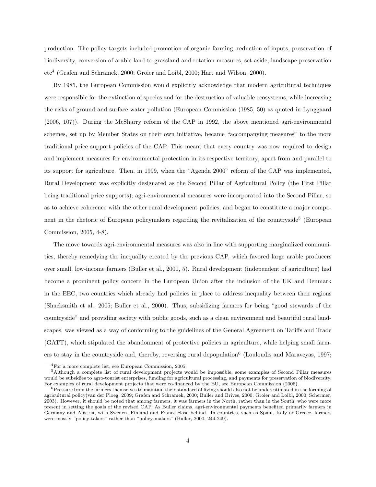production. The policy targets included promotion of organic farming, reduction of inputs, preservation of biodiversity, conversion of arable land to grassland and rotation measures, set-aside, landscape preservation etc<sup>4</sup> (Grafen and Schramek, 2000; Groier and Loibl, 2000; Hart and Wilson, 2000).

By 1985, the European Commission would explicitly acknowledge that modern agricultural techniques were responsible for the extinction of species and for the destruction of valuable ecosystems, while increasing the risks of ground and surface water pollution (European Commission (1985, 50) as quoted in Lynggaard (2006, 107)). During the McSharry reform of the CAP in 1992, the above mentioned agri-environmental schemes, set up by Member States on their own initiative, became "accompanying measures" to the more traditional price support policies of the CAP. This meant that every country was now required to design and implement measures for environmental protection in its respective territory, apart from and parallel to its support for agriculture. Then, in 1999, when the "Agenda 2000" reform of the CAP was implemented, Rural Development was explicitly designated as the Second Pillar of Agricultural Policy (the First Pillar being traditional price supports); agri-environmental measures were incorporated into the Second Pillar, so as to achieve coherence with the other rural development policies, and began to constitute a major component in the rhetoric of European policymakers regarding the revitalization of the countryside<sup>5</sup> (European Commission, 2005, 4-8).

The move towards agri-environmental measures was also in line with supporting marginalized communities, thereby remedying the inequality created by the previous CAP, which favored large arable producers over small, low-income farmers (Buller et al., 2000, 5). Rural development (independent of agriculture) had become a prominent policy concern in the European Union after the inclusion of the UK and Denmark in the EEC, two countries which already had policies in place to address inequality between their regions (Shucksmith et al., 2005; Buller et al., 2000). Thus, subsidizing farmers for being "good stewards of the countryside" and providing society with public goods, such as a clean environment and beautiful rural landscapes, was viewed as a way of conforming to the guidelines of the General Agreement on Tariffs and Trade (GATT), which stipulated the abandonment of protective policies in agriculture, while helping small farmers to stay in the countryside and, thereby, reversing rural depopulation<sup>6</sup> (Louloudis and Maraveyas, 1997;

<sup>4</sup>For a more complete list, see European Commission, 2005.

<sup>5</sup>Although a complete list of rural development projects would be impossible, some examples of Second Pillar measures would be subsidies to agro-tourist enterprises, funding for agricultural processing, and payments for preservation of biodiversity. For examples of rural development projects that were co-financed by the EU, see European Commission (2006).

<sup>&</sup>lt;sup>6</sup>Pressure from the farmers themselves to maintain their standard of living should also not be underestimated in the forming of agricultural policy(van der Ploeg, 2009; Grafen and Schramek, 2000; Buller and Brives, 2000; Groier and Loibl, 2000; Schermer, 2003). However, it should be noted that among farmers, it was farmers in the North, rather than in the South, who were more present in setting the goals of the revised CAP. As Buller claims, agri-environmental payments benefited primarily farmers in Germany and Austria, with Sweden, Finland and France close behind. In countries, such as Spain, Italy or Greece, farmers were mostly "policy-takers" rather than "policy-makers" (Buller, 2000, 244-249).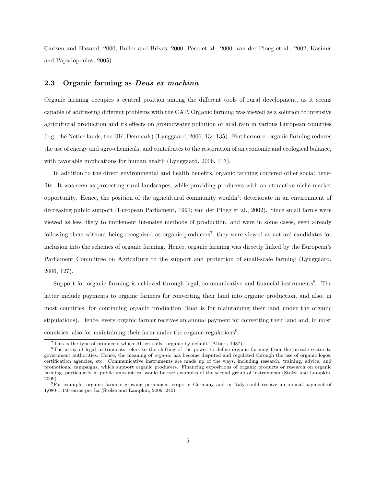Carlsen and Hasund, 2000; Buller and Brives, 2000; Peco et al., 2000; van der Ploeg et al., 2002; Kasimis and Papadopoulos, 2005).

#### 2.3 Organic farming as Deus ex machina

Organic farming occupies a central position among the different tools of rural development, as it seems capable of addressing different problems with the CAP. Organic farming was viewed as a solution to intensive agricultural production and its effects on groundwater pollution or acid rain in various European countries (e.g. the Netherlands, the UK, Denmark) (Lynggaard, 2006, 134-135). Furthermore, organic farming reduces the use of energy and agro-chemicals, and contributes to the restoration of an economic and ecological balance, with favorable implications for human health (Lynggaard, 2006, 113).

In addition to the direct environmental and health benefits, organic farming confered other social benefits. It was seen as protecting rural landscapes, while providing producers with an attractive niche market opportunity. Hence, the position of the agricultural community wouldn't deteriorate in an environment of decreasing public support (European Parliament, 1991; van der Ploeg et al., 2002). Since small farms were viewed as less likely to implement intensive methods of production, and were in some cases, even already following them without being recognized as organic producers<sup>7</sup>, they were viewed as natural candidates for inclusion into the schemes of organic farming. Hence, organic farming was directly linked by the European's Parliament Committee on Agriculture to the support and protection of small-scale farming (Lynggaard, 2006, 127).

Support for organic farming is achieved through legal, communicative and financial instruments<sup>8</sup>. The latter include payments to organic farmers for converting their land into organic production, and also, in most countries, for continuing organic production (that is for maintaining their land under the organic stipulations). Hence, every organic farmer receives an annual payment for converting their land and, in most countries, also for maintaining their farm under the organic regulations<sup>9</sup>.

<sup>7</sup>This is the type of producers which Altieri calls "organic by default"(Altieri, 1987).

<sup>8</sup>The array of legal instruments refers to the shifting of the power to define organic farming from the private sector to government authorities. Hence, the meaning of organic has become disputed and regulated through the use of organic logos, certification agencies, etc. Communicative instruments are made up of the ways, including research, training, advice, and promotional campaigns, which support organic producers. Financing expositions of organic products or research on organic farming, particularly in public universities, would be two examples of the second group of instruments (Stolze and Lampkin, 2009)

<sup>9</sup>For example, organic farmers growing permanent crops in Germany and in Italy could receive an annual payment of 1,080-1,440 euros per ha (Stolze and Lampkin, 2009, 240).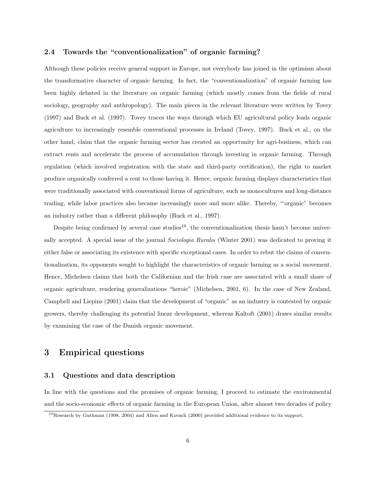#### 2.4 Towards the "conventionalization" of organic farming?

Although these policies receive general support in Europe, not everybody has joined in the optimism about the transformative character of organic farming. In fact, the "conventionalization" of organic farming has been highly debated in the literature on organic farming (which mostly comes from the fields of rural sociology, geography and anthropology). The main pieces in the relevant literature were written by Tovey (1997) and Buck et al. (1997). Tovey traces the ways through which EU agricultural policy leads organic agriculture to increasingly resemble conventional processes in Ireland (Tovey, 1997). Buck et al., on the other hand, claim that the organic farming sector has created an opportunity for agri-business, which can extract rents and accelerate the process of accumulation through investing in organic farming. Through regulation (which involved registration with the state and third-party certification), the right to market produce organically conferred a rent to those having it. Hence, organic farming displays characteristics that were traditionally associated with conventional forms of agriculture, such as monocultures and long-distance trading, while labor practices also became increasingly more and more alike. Thereby, "'organic" becomes an industry rather than a different philosophy (Buck et al., 1997).

Despite being confirmed by several case studies<sup>10</sup>, the conventionalization thesis hasn't become universally accepted. A special issue of the journal *Sociologia Ruralis* (Winter 2001) was dedicated to proving it either false or associating its existence with specific exceptional cases. In order to rebut the claims of conventionalization, its opponents sought to highlight the characteristics of organic farming as a social movement. Hence, Michelsen claims that both the Californian and the Irish case are associated with a small share of organic agriculture, rendering generalizations "heroic" (Michelsen, 2001, 6). In the case of New Zealand, Campbell and Liepins (2001) claim that the development of "organic" as an industry is contested by organic growers, thereby challenging its potential linear development, whereas Kaltoft (2001) draws similar results by examining the case of the Danish organic movement.

## 3 Empirical questions

#### 3.1 Questions and data description

In line with the questions and the promises of organic farming, I proceed to estimate the environmental and the socio-economic effects of organic farming in the European Union, after almost two decades of policy

<sup>10</sup>Research by Guthman (1998, 2004) and Allen and Kovach (2000) provided additional evidence to its support.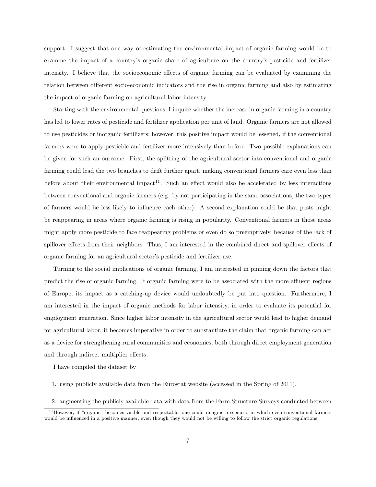support. I suggest that one way of estimating the environmental impact of organic farming would be to examine the impact of a country's organic share of agriculture on the country's pesticide and fertilizer intensity. I believe that the socioeconomic effects of organic farming can be evaluated by examining the relation between different socio-economic indicators and the rise in organic farming and also by estimating the impact of organic farming on agricultural labor intensity.

Starting with the environmental questions, I inquire whether the increase in organic farming in a country has led to lower rates of pesticide and fertilizer application per unit of land. Organic farmers are not allowed to use pesticides or inorganic fertilizers; however, this positive impact would be lessened, if the conventional farmers were to apply pesticide and fertilizer more intensively than before. Two possible explanations can be given for such an outcome. First, the splitting of the agricultural sector into conventional and organic farming could lead the two branches to drift further apart, making conventional farmers care even less than before about their environmental impact<sup>11</sup>. Such an effect would also be accelerated by less interactions between conventional and organic farmers (e.g. by not participating in the same associations, the two types of farmers would be less likely to influence each other). A second explanation could be that pests might be reappearing in areas where organic farming is rising in popularity. Conventional farmers in those areas might apply more pesticide to face reappearing problems or even do so preemptively, because of the lack of spillover effects from their neighbors. Thus, I am interested in the combined direct and spillover effects of organic farming for an agricultural sector's pesticide and fertilizer use.

Turning to the social implications of organic farming, I am interested in pinning down the factors that predict the rise of organic farming. If organic farming were to be associated with the more affluent regions of Europe, its impact as a catching-up device would undoubtedly be put into question. Furthermore, I am interested in the impact of organic methods for labor intensity, in order to evaluate its potential for employment generation. Since higher labor intensity in the agricultural sector would lead to higher demand for agricultural labor, it becomes imperative in order to substantiate the claim that organic farming can act as a device for strengthening rural communities and economies, both through direct employment generation and through indirect multiplier effects.

I have compiled the dataset by

- 1. using publicly available data from the Eurostat website (accessed in the Spring of 2011).
- 2. augmenting the publicly available data with data from the Farm Structure Surveys conducted between

 $11$ However, if "organic" becomes visible and respectable, one could imagine a scenario in which even conventional farmers would be influenced in a positive manner, even though they would not be willing to follow the strict organic regulations.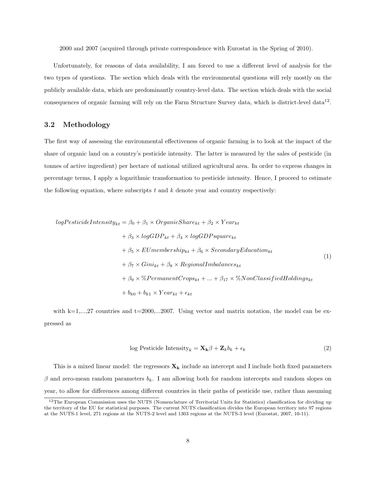2000 and 2007 (acquired through private correspondence with Eurostat in the Spring of 2010).

Unfortunately, for reasons of data availability, I am forced to use a different level of analysis for the two types of questions. The section which deals with the environmental questions will rely mostly on the publicly available data, which are predominantly country-level data. The section which deals with the social consequences of organic farming will rely on the Farm Structure Survey data, which is district-level data<sup>12</sup>.

#### 3.2 Methodology

The first way of assessing the environmental effectiveness of organic farming is to look at the impact of the share of organic land on a country's pesticide intensity. The latter is measured by the sales of pesticide (in tonnes of active ingredient) per hectare of national utilized agricultural area. In order to express changes in percentage terms, I apply a logarithmic transformation to pesticide intensity. Hence, I proceed to estimate the following equation, where subscripts  $t$  and  $k$  denote year and country respectively:

$$
logPesticideIntensity_{kt} = \beta_0 + \beta_1 \times OrganicShare_{kt} + \beta_2 \times Year_{kt}
$$
  
+  $\beta_3 \times logGDP_{kt} + \beta_4 \times logGDPsquare_{kt}$   
+  $\beta_5 \times EUmembership_{kt} + \beta_6 \times SecondaryEducation_{kt}$   
+  $\beta_7 \times Gini_{kt} + \beta_8 \times RegionalImbalances_{kt}$   
+  $\beta_9 \times \%PermanentCrops_{kt} + ... + \beta_{17} \times \%NonClassifiedHoldings_{kt}$   
+  $b_{k0} + b_{k1} \times Year_{kt} + \epsilon_{kt}$  (1)

with k=1,...,27 countries and t=2000,...2007. Using vector and matrix notation, the model can be expressed as

$$
\log \text{Pesticide Intensity}_k = \mathbf{X_k} \beta + \mathbf{Z}_k b_k + \epsilon_k \tag{2}
$$

This is a mixed linear model: the regressors  $\mathbf{X}_k$  include an intercept and I include both fixed parameters  $\beta$  and zero-mean random parameters  $b_k$ . I am allowing both for random intercepts and random slopes on year, to allow for differences among different countries in their paths of pesticide use, rather than assuming

 $12$ The European Commission uses the NUTS (Nomenclature of Territorial Units for Statistics) classification for dividing up the territory of the EU for statistical purposes. The current NUTS classification divides the European territory into 97 regions at the NUTS-1 level, 271 regions at the NUTS-2 level and 1303 regions at the NUTS-3 level (Eurostat, 2007, 10-11).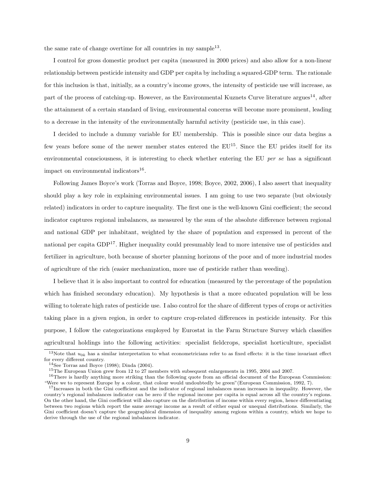the same rate of change over time for all countries in my sample<sup>13</sup>.

I control for gross domestic product per capita (measured in 2000 prices) and also allow for a non-linear relationship between pesticide intensity and GDP per capita by including a squared-GDP term. The rationale for this inclusion is that, initially, as a country's income grows, the intensity of pesticide use will increase, as part of the process of catching-up. However, as the Environmental Kuznets Curve literature argues<sup>14</sup>, after the attainment of a certain standard of living, environmental concerns will become more prominent, leading to a decrease in the intensity of the environmentally harmful activity (pesticide use, in this case).

I decided to include a dummy variable for EU membership. This is possible since our data begins a few years before some of the newer member states entered the  $EU^{15}$ . Since the EU prides itself for its environmental consciousness, it is interesting to check whether entering the EU per se has a significant impact on environmental indicators<sup>16</sup>.

Following James Boyce's work (Torras and Boyce, 1998; Boyce, 2002, 2006), I also assert that inequality should play a key role in explaining environmental issues. I am going to use two separate (but obviously related) indicators in order to capture inequality. The first one is the well-known Gini coefficient; the second indicator captures regional imbalances, as measured by the sum of the absolute difference between regional and national GDP per inhabitant, weighted by the share of population and expressed in percent of the national per capita  $GDP<sup>17</sup>$ . Higher inequality could presumably lead to more intensive use of pesticides and fertilizer in agriculture, both because of shorter planning horizons of the poor and of more industrial modes of agriculture of the rich (easier mechanization, more use of pesticide rather than weeding).

I believe that it is also important to control for education (measured by the percentage of the population which has finished secondary education). My hypothesis is that a more educated population will be less willing to tolerate high rates of pesticide use. I also control for the share of different types of crops or activities taking place in a given region, in order to capture crop-related differences in pesticide intensity. For this purpose, I follow the categorizations employed by Eurostat in the Farm Structure Survey which classifies agricultural holdings into the following activities: specialist fieldcrops, specialist horticulture, specialist

<sup>&</sup>lt;sup>13</sup>Note that  $u_{0k}$  has a similar interpretation to what econometricians refer to as fixed effects: it is the time invariant effect for every different country.

<sup>14</sup>See Torras and Boyce (1998); Dinda (2004).

<sup>15</sup>The European Union grew from 12 to 27 members with subsequent enlargements in 1995, 2004 and 2007.

 $16$ There is hardly anything more striking than the following quote from an official document of the European Commission: "Were we to represent Europe by a colour, that colour would undoubtedly be green"(European Commission, 1992, 7).

<sup>&</sup>lt;sup>17</sup>Increases in both the Gini coefficient and the indicator of regional imbalances mean increases in inequality. However, the country's regional imbalances indicator can be zero if the regional income per capita is equal across all the country's regions. On the other hand, the Gini coefficient will also capture on the distribution of income within every region, hence differentiating between two regions which report the same average income as a result of either equal or unequal distributions. Similarly, the Gini coefficient doesn't capture the geographical dimension of inequality among regions within a country, which we hope to derive through the use of the regional imbalances indicator.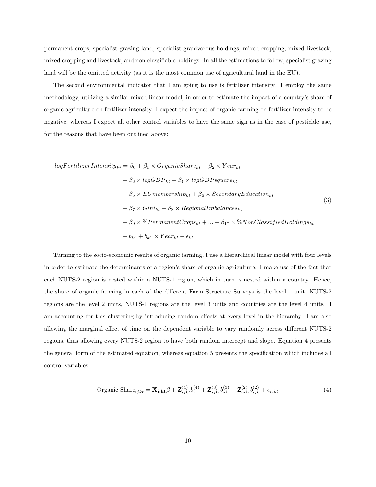permanent crops, specialist grazing land, specialist granivorous holdings, mixed cropping, mixed livestock, mixed cropping and livestock, and non-classifiable holdings. In all the estimations to follow, specialist grazing land will be the omitted activity (as it is the most common use of agricultural land in the EU).

The second environmental indicator that I am going to use is fertilizer intensity. I employ the same methodology, utilizing a similar mixed linear model, in order to estimate the impact of a country's share of organic agriculture on fertilizer intensity. I expect the impact of organic farming on fertilizer intensity to be negative, whereas I expect all other control variables to have the same sign as in the case of pesticide use, for the reasons that have been outlined above:

 $logFertilizerIntensity_{kt} = \beta_0 + \beta_1 \times OrganicShare_{kt} + \beta_2 \times Year_{kt}$  $+ \beta_3 \times logGDP_{kt} + \beta_4 \times logGDP_{square_{kt}}$  $+ \beta_5 \times EU membership_{kt} + \beta_6 \times Secondary Education_{kt}$  $+ \beta_7 \times Gini_{kt} + \beta_8 \times RegionalImbalances_{kt}$  $+\ \beta_9 \times \% PermanentCrops_{kt} + ... + \beta_{17} \times \% NonClassifiedHoldings_{kt}$  $+ b_{k0} + b_{k1} \times Year_{kt} + \epsilon_{kt}$ (3)

Turning to the socio-economic results of organic farming, I use a hierarchical linear model with four levels in order to estimate the determinants of a region's share of organic agriculture. I make use of the fact that each NUTS-2 region is nested within a NUTS-1 region, which in turn is nested within a country. Hence, the share of organic farming in each of the different Farm Structure Surveys is the level 1 unit, NUTS-2 regions are the level 2 units, NUTS-1 regions are the level 3 units and countries are the level 4 units. I am accounting for this clustering by introducing random effects at every level in the hierarchy. I am also allowing the marginal effect of time on the dependent variable to vary randomly across different NUTS-2 regions, thus allowing every NUTS-2 region to have both random intercept and slope. Equation 4 presents the general form of the estimated equation, whereas equation 5 presents the specification which includes all control variables.

Organic Shar
$$
e_{ijkt} = \mathbf{X}_{\mathbf{i}\mathbf{j}\mathbf{k}\mathbf{t}} \beta + \mathbf{Z}_{ijkt}^{(4)} b_k^{(4)} + \mathbf{Z}_{ijkt}^{(3)} b_{jk}^{(3)} + \mathbf{Z}_{ijkt}^{(2)} b_{ijk}^{(2)} + \epsilon_{ijkt}
$$
 (4)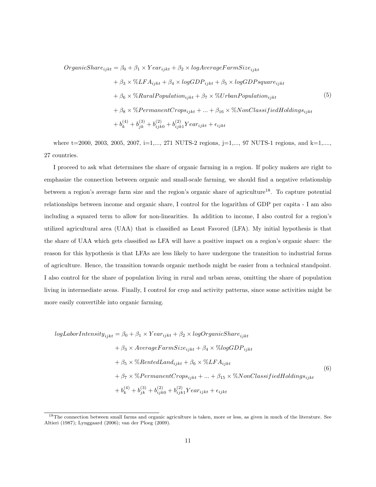$OrganicShare_{ijkt} = \beta_0 + \beta_1 \times Year_{ijkt} + \beta_2 \times logAverageFarmSize_{ijkt}$ 

$$
+ \beta_3 \times \% LFA_{ijkt} + \beta_4 \times logGDP_{ijkt} + \beta_5 \times logGDP square_{ijkt}
$$
  
+  $\beta_6 \times \% RuralPopulation_{ijkt} + \beta_7 \times \% UrbanPopulation_{ijkt}$  (5)  
+  $\beta_8 \times \% PermanentCrops_{ijkt} + ... + \beta_{16} \times \% NonClassifiedHoldings_{ijkt}$   
+  $b_k^{(4)} + b_{jk}^{(3)} + b_{ijk0}^{(2)} + b_{ijk1}^{(2)} Year_{ijkt} + \epsilon_{ijkt}$ 

where  $t=2000, 2003, 2005, 2007, i=1,..., 271$  NUTS-2 regions,  $j=1,..., 97$  NUTS-1 regions, and  $k=1,...,$ 27 countries.

I proceed to ask what determines the share of organic farming in a region. If policy makers are right to emphasize the connection between organic and small-scale farming, we should find a negative relationship between a region's average farm size and the region's organic share of agriculture18. To capture potential relationships between income and organic share, I control for the logarithm of GDP per capita - I am also including a squared term to allow for non-linearities. In addition to income, I also control for a region's utilized agricultural area (UAA) that is classified as Least Favored (LFA). My initial hypothesis is that the share of UAA which gets classified as LFA will have a positive impact on a region's organic share: the reason for this hypothesis is that LFAs are less likely to have undergone the transition to industrial forms of agriculture. Hence, the transition towards organic methods might be easier from a technical standpoint. I also control for the share of population living in rural and urban areas, omitting the share of population living in intermediate areas. Finally, I control for crop and activity patterns, since some activities might be more easily convertible into organic farming.

$$
logLaborIntensity_{ijkt} = \beta_0 + \beta_1 \times Year_{ijkt} + \beta_2 \times logOrganicShare_{ijkt}
$$
  
+  $\beta_3 \times AverageFarmSize_{ijkt} + \beta_4 \times \% log GDP_{ijkt}$   
+  $\beta_5 \times \% RentedLand_{ijkt} + \beta_6 \times \% LFA_{ijkt}$   
+  $\beta_7 \times \% PermanentCrops_{ijkt} + ... + \beta_{15} \times \% NonClassifiedHoldings_{ijkt}$   
+  $b_k^{(4)} + b_{jk}^{(3)} + b_{ijko}^{(2)} + b_{ijkl}^{(2)} Year_{ijkt} + \epsilon_{ijkt}$  (6)

<sup>&</sup>lt;sup>18</sup>The connection between small farms and organic agriculture is taken, more or less, as given in much of the literature. See Altieri (1987); Lynggaard (2006); van der Ploeg (2009).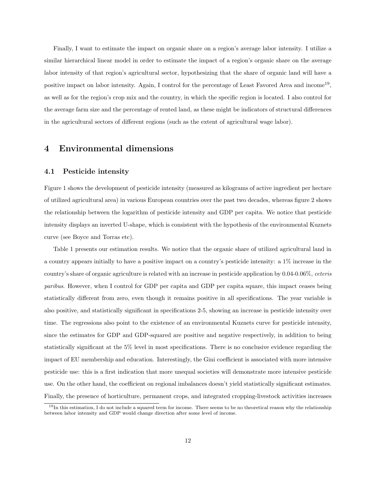Finally, I want to estimate the impact on organic share on a region's average labor intensity. I utilize a similar hierarchical linear model in order to estimate the impact of a region's organic share on the average labor intensity of that region's agricultural sector, hypothesizing that the share of organic land will have a positive impact on labor intensity. Again, I control for the percentage of Least Favored Area and income<sup>19</sup>, as well as for the region's crop mix and the country, in which the specific region is located. I also control for the average farm size and the percentage of rented land, as these might be indicators of structural differences in the agricultural sectors of different regions (such as the extent of agricultural wage labor).

### 4 Environmental dimensions

#### 4.1 Pesticide intensity

Figure 1 shows the development of pesticide intensity (measured as kilograms of active ingredient per hectare of utilized agricultural area) in various European countries over the past two decades, whereas figure 2 shows the relationship between the logarithm of pesticide intensity and GDP per capita. We notice that pesticide intensity displays an inverted U-shape, which is consistent with the hypothesis of the environmental Kuznets curve (see Boyce and Torras etc).

Table 1 presents our estimation results. We notice that the organic share of utilized agricultural land in a country appears initially to have a positive impact on a country's pesticide intensity: a 1% increase in the country's share of organic agriculture is related with an increase in pesticide application by 0.04-0.06%, ceteris paribus. However, when I control for GDP per capita and GDP per capita square, this impact ceases being statistically different from zero, even though it remains positive in all specifications. The year variable is also positive, and statistically significant in specifications 2-5, showing an increase in pesticide intensity over time. The regressions also point to the existence of an environmental Kuznets curve for pesticide intensity, since the estimates for GDP and GDP-squared are positive and negative respectively, in addition to being statistically significant at the 5% level in most specifications. There is no conclusive evidence regarding the impact of EU membership and education. Interestingly, the Gini coefficient is associated with more intensive pesticide use: this is a first indication that more unequal societies will demonstrate more intensive pesticide use. On the other hand, the coefficient on regional imbalances doesn't yield statistically significant estimates. Finally, the presence of horticulture, permanent crops, and integrated cropping-livestock activities increases

 $19$ In this estimation, I do not include a squared term for income. There seems to be no theoretical reason why the relationship between labor intensity and GDP would change direction after some level of income.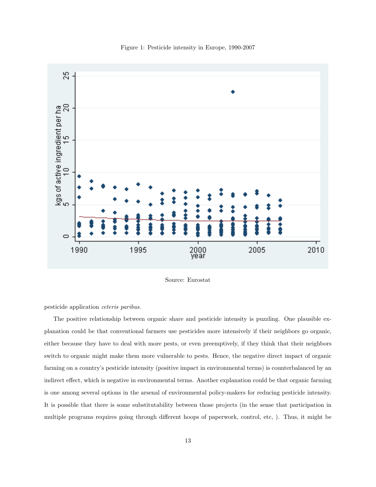



Source: Eurostat

pesticide application ceteris paribus.

The positive relationship between organic share and pesticide intensity is puzzling. One plausible explanation could be that conventional farmers use pesticides more intensively if their neighbors go organic, either because they have to deal with more pests, or even preemptively, if they think that their neighbors switch to organic might make them more vulnerable to pests. Hence, the negative direct impact of organic farming on a country's pesticide intensity (positive impact in environmental terms) is counterbalanced by an indirect effect, which is negative in environmental terms. Another explanation could be that organic farming is one among several options in the arsenal of environmental policy-makers for reducing pesticide intensity. It is possible that there is some substitutability between those projects (in the sense that participation in multiple programs requires going through different hoops of paperwork, control, etc, ). Thus, it might be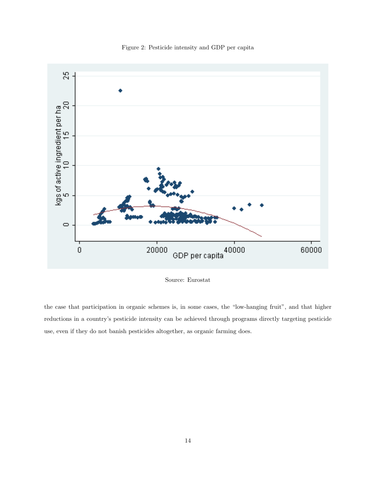Figure 2: Pesticide intensity and GDP per capita



Source: Eurostat

the case that participation in organic schemes is, in some cases, the "low-hanging fruit", and that higher reductions in a country's pesticide intensity can be achieved through programs directly targeting pesticide use, even if they do not banish pesticides altogether, as organic farming does.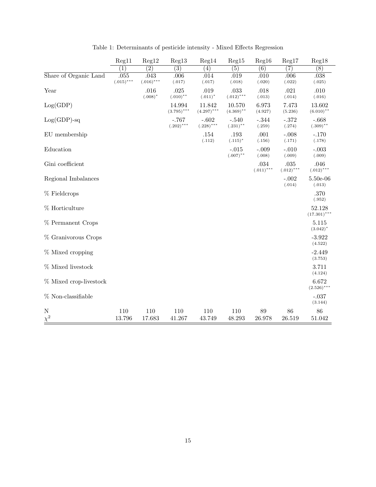|                        | Reg11                | Reg12                | Reg13                   | Reg14                   | Reg15                  | Reg16                    | Reg17                | Reg18                    |
|------------------------|----------------------|----------------------|-------------------------|-------------------------|------------------------|--------------------------|----------------------|--------------------------|
|                        | $\left(1\right)$     | $\overline{(2)}$     | $\overline{(3)}$        | (4)                     | (5)                    | (6)                      | $\left( 7\right)$    | $\overline{(8)}$         |
| Share of Organic Land  | .055<br>$(.015)$ *** | .043<br>$(.016)$ *** | .006<br>(.017)          | .014<br>(.017)          | .019<br>(.018)         | .010<br>(.020)           | .006<br>(.022)       | .038<br>(.025)           |
| Year                   |                      | .016<br>$(.008)^*$   | .025<br>$(.010)$ **     | .019<br>$(.011)^*$      | .033<br>$(.012)$ ***   | .018<br>(.013)           | .021<br>(.014)       | .010<br>(.016)           |
| Log(GDP)               |                      |                      | 14.994<br>$(3.795)$ *** | 11.842<br>$(4.297)$ *** | 10.570<br>$(4.369)$ ** | 6.973<br>(4.927)         | 7.473<br>(5.236)     | 13.602<br>$(6.010)$ **   |
| $Log(GDP)$ -sq         |                      |                      | $-.767$<br>$(.202)$ *** | $-.602$<br>$(.228)$ *** | $-.540$<br>$(.231)$ ** | $-.344$<br>(.259)        | $-.372$<br>(.274)    | $-.668$<br>$(.309)$ **   |
| EU membership          |                      |                      |                         | .154<br>(.112)          | .193<br>$(.115)^*$     | .001<br>(.156)           | $-.008$<br>(.171)    | $-.170$<br>(.178)        |
| Education              |                      |                      |                         |                         | $-.015$<br>$(.007)$ ** | $-.009$<br>(.008)        | $-.010$<br>(.009)    | $-.003$<br>(.009)        |
| Gini coefficient       |                      |                      |                         |                         |                        | $.034\,$<br>$(.011)$ *** | .035<br>$(.012)$ *** | .046<br>$(.012)$ ***     |
| Regional Imbalances    |                      |                      |                         |                         |                        |                          | $-.002$<br>(.014)    | $5.50e-06$<br>(.013)     |
| % Fieldcrops           |                      |                      |                         |                         |                        |                          |                      | .370<br>(.952)           |
| % Horticulture         |                      |                      |                         |                         |                        |                          |                      | 52.128<br>$(17.301)$ *** |
| % Permanent Crops      |                      |                      |                         |                         |                        |                          |                      | 5.115<br>$(3.042)^*$     |
| % Granivorous Crops    |                      |                      |                         |                         |                        |                          |                      | $-3.922$<br>(4.522)      |
| % Mixed cropping       |                      |                      |                         |                         |                        |                          |                      | $-2.449$<br>(3.753)      |
| % Mixed livestock      |                      |                      |                         |                         |                        |                          |                      | $3.711\,$<br>(4.124)     |
| % Mixed crop-livestock |                      |                      |                         |                         |                        |                          |                      | 6.672<br>$(2.526)$ ***   |
| % Non-classifiable     |                      |                      |                         |                         |                        |                          |                      | $-.037$<br>(3.144)       |
| N<br>$\chi^2$          | 110<br>13.796        | 110<br>17.683        | 110<br>41.267           | 110<br>43.749           | 110<br>48.293          | 89<br>26.978             | 86<br>26.519         | 86<br>51.042             |

Table 1: Determinants of pesticide intensity - Mixed Effects Regression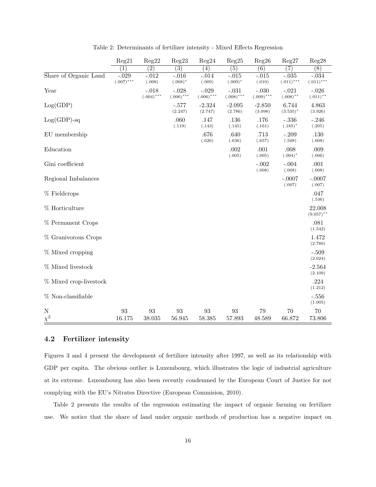|                        | Reg21                   | Reg22                   | Reg23                   | Reg24                   | Reg25                   | Reg26                   | Reg27                   | Reg28                   |
|------------------------|-------------------------|-------------------------|-------------------------|-------------------------|-------------------------|-------------------------|-------------------------|-------------------------|
|                        | $\left(1\right)$        | $\overline{(2)}$        | $\overline{(3)}$        | (4)                     | $\overline{(5)}$        | $\overline{(6)}$        | $\overline{(7)}$        | $\overline{(8)}$        |
| Share of Organic Land  | $-.029$<br>$(.007)$ *** | $-.012$<br>(.008)       | $-.016$<br>$(.008)^*$   | $-.014$<br>(.009)       | $-.015$<br>$(.009)^*$   | $-.015$<br>(.010)       | $-.035$<br>$(.011)$ *** | $-.034$<br>$(.011)$ *** |
| Year                   |                         | $-.018$<br>$(.004)$ *** | $-.028$<br>$(.006)$ *** | $-.029$<br>$(.006)$ *** | $-.031$<br>$(.008)$ *** | $-.030$<br>$(.009)$ *** | $-.021$<br>$(.008)$ **  | $-.026$<br>$(.011)$ **  |
| Log(GDP)               |                         |                         | $-.577$<br>(2.247)      | $-2.324$<br>(2.747)     | $-2.095$<br>(2.786)     | $-2.850$<br>(3.098)     | 6.744<br>$(3.535)^*$    | 4.863<br>(3.926)        |
| $Log(GDP)$ -sq         |                         |                         | .060<br>(.119)          | .147<br>(.143)          | .136<br>(.145)          | .176<br>(.161)          | $-.336$<br>$(.185)^*$   | $-.246$<br>(.205)       |
| EU membership          |                         |                         |                         | .676<br>(.626)          | .640<br>(.636)          | .713<br>(.657)          | $-.209$<br>(.508)       | .130<br>(.608)          |
| Education              |                         |                         |                         |                         | .002<br>(.005)          | .001<br>(.005)          | .008<br>$(.004)^*$      | .009<br>(.006)          |
| Gini coefficient       |                         |                         |                         |                         |                         | $-.002$<br>(.008)       | $-.004$<br>(.008)       | .001<br>(.008)          |
| Regional Imbalances    |                         |                         |                         |                         |                         |                         | $-.0007$<br>(.007)      | $-.0007$<br>(.007)      |
| % Fieldcrops           |                         |                         |                         |                         |                         |                         |                         | .047<br>(.536)          |
| % Horticulture         |                         |                         |                         |                         |                         |                         |                         | 22.008<br>$(9.057)$ **  |
| % Permanent Crops      |                         |                         |                         |                         |                         |                         |                         | .081<br>(1.542)         |
| % Granivorous Crops    |                         |                         |                         |                         |                         |                         |                         | 1.472<br>(2.780)        |
| % Mixed cropping       |                         |                         |                         |                         |                         |                         |                         | $-.509$<br>(2.024)      |
| % Mixed livestock      |                         |                         |                         |                         |                         |                         |                         | $-2.564$<br>(2.109)     |
| % Mixed crop-livestock |                         |                         |                         |                         |                         |                         |                         | .224<br>(1.212)         |
| % Non-classifiable     |                         |                         |                         |                         |                         |                         |                         | $-.556$<br>(1.005)      |
| N<br>$\chi^2$          | 93<br>16.175            | 93<br>38.035            | 93<br>56.945            | 93<br>58.385            | 93<br>57.893            | 79<br>48.589            | 70<br>66.872            | 70<br>73.806            |

Table 2: Determinants of fertilizer intensity - Mixed Effects Regression

## 4.2 Fertilizer intensity

Figures 3 and 4 present the development of fertilizer intensity after 1997, as well as its relationship with GDP per capita. The obvious outlier is Luxembourg, which illustrates the logic of industrial agriculture at its extreme. Luxembourg has also been recently condemned by the European Court of Justice for not complying with the EU's Nitrates Directive (European Commision, 2010).

Table 2 presents the results of the regression estimating the impact of organic farming on fertilizer use. We notice that the share of land under organic methods of production has a negative impact on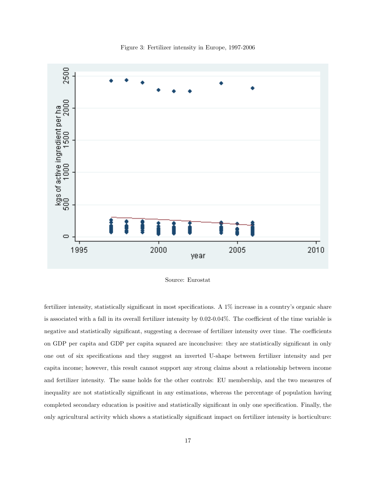

Figure 3: Fertilizer intensity in Europe, 1997-2006

Source: Eurostat

fertilizer intensity, statistically significant in most specifications. A 1% increase in a country's organic share is associated with a fall in its overall fertilizer intensity by 0.02-0.04%. The coefficient of the time variable is negative and statistically significant, suggesting a decrease of fertilizer intensity over time. The coefficients on GDP per capita and GDP per capita squared are inconclusive: they are statistically significant in only one out of six specifications and they suggest an inverted U-shape between fertilizer intensity and per capita income; however, this result cannot support any strong claims about a relationship between income and fertilizer intensity. The same holds for the other controls: EU membership, and the two measures of inequality are not statistically significant in any estimations, whereas the percentage of population having completed secondary education is positive and statistically significant in only one specification. Finally, the only agricultural activity which shows a statistically significant impact on fertilizer intensity is horticulture: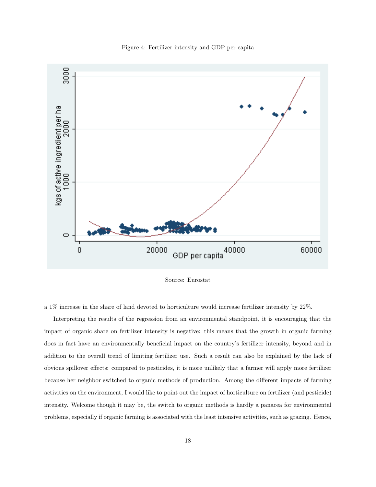Figure 4: Fertilizer intensity and GDP per capita



Source: Eurostat

a 1% increase in the share of land devoted to horticulture would increase fertilizer intensity by 22%.

Interpreting the results of the regression from an environmental standpoint, it is encouraging that the impact of organic share on fertilizer intensity is negative: this means that the growth in organic farming does in fact have an environmentally beneficial impact on the country's fertilizer intensity, beyond and in addition to the overall trend of limiting fertilizer use. Such a result can also be explained by the lack of obvious spillover effects: compared to pesticides, it is more unlikely that a farmer will apply more fertilizer because her neighbor switched to organic methods of production. Among the different impacts of farming activities on the environment, I would like to point out the impact of horticulture on fertilizer (and pesticide) intensity. Welcome though it may be, the switch to organic methods is hardly a panacea for environmental problems, especially if organic farming is associated with the least intensive activities, such as grazing. Hence,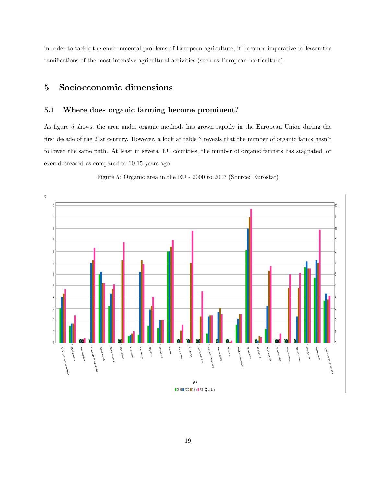in order to tackle the environmental problems of European agriculture, it becomes imperative to lessen the ramifications of the most intensive agricultural activities (such as European horticulture).

## 5 Socioeconomic dimensions

### 5.1 Where does organic farming become prominent?

As figure 5 shows, the area under organic methods has grown rapidly in the European Union during the first decade of the 21st century. However, a look at table 3 reveals that the number of organic farms hasn't followed the same path. At least in several EU countries, the number of organic farmers has stagnated, or even decreased as compared to 10-15 years ago.



Figure 5: Organic area in the EU - 2000 to 2007 (Source: Eurostat)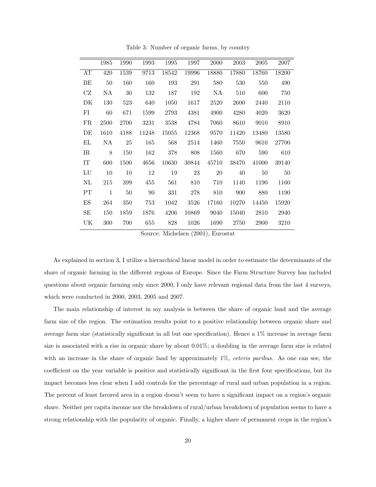|             | 1985         | 1990 | 1993  | 1995  | 1997  | 2000  | 2003  | 2005  | 2007  |
|-------------|--------------|------|-------|-------|-------|-------|-------|-------|-------|
| AT          | 420          | 1539 | 9713  | 18542 | 19996 | 18880 | 17880 | 18760 | 18200 |
| BЕ          | 50           | 160  | 160   | 193   | 291   | 580   | 530   | 550   | 490   |
| CZ          | ΝA           | 30   | 132   | 187   | 192   | NA    | 510   | 600   | 750   |
| DK          | 130          | 523  | 640   | 1050  | 1617  | 2520  | 2600  | 2440  | 2110  |
| FI          | 60           | 671  | 1599  | 2793  | 4381  | 4900  | 4280  | 4020  | 3620  |
| FR          | 2500         | 2700 | 3231  | 3538  | 4784  | 7060  | 8610  | 9010  | 8910  |
| DE          | 1610         | 4188 | 11248 | 15055 | 12368 | 9570  | 11420 | 13480 | 13580 |
| ΕL          | NA           | 25   | 165   | 568   | 2514  | 1460  | 7550  | 9610  | 27700 |
| $_{\rm IR}$ | 8            | 150  | 162   | 378   | 808   | 1560  | 670   | 590   | 610   |
| IT          | 600          | 1500 | 4656  | 10630 | 30844 | 45710 | 38470 | 41000 | 39140 |
| LU          | 10           | 10   | 12    | 19    | 23    | 20    | 40    | 50    | 50    |
| $\rm NL$    | 215          | 399  | 455   | 561   | 810   | 710   | 1140  | 1190  | 1160  |
| PT          | $\mathbf{1}$ | 50   | 90    | 331   | 278   | 810   | 900   | 880   | 1190  |
| ES          | 264          | 350  | 753   | 1042  | 3526  | 17160 | 10270 | 14450 | 15920 |
| SЕ          | 150          | 1859 | 1876  | 4206  | 10869 | 9040  | 15040 | 2810  | 2940  |
| UK          | 300          | 700  | 655   | 828   | 1026  | 1690  | 2750  | 2900  | 3210  |
|             |              |      |       |       |       |       |       |       |       |

Table 3: Number of organic farms, by country

Source: Michelsen (2001), Eurostat

As explained in section 3, I utilize a hierarchical linear model in order to estimate the determinants of the share of organic farming in the different regions of Europe. Since the Farm Structure Survey has included questions about organic farming only since 2000, I only have relevant regional data from the last 4 surveys, which were conducted in 2000, 2003, 2005 and 2007.

The main relationship of interest in my analysis is between the share of organic land and the average farm size of the region. The estimation results point to a positive relationship between organic share and average farm size (statistically significant in all but one specification). Hence a 1% increase in average farm size is associated with a rise in organic share by about 0.01%; a doubling in the average farm size is related with an increase in the share of organic land by approximately 1%, *ceteris paribus*. As one can see, the coefficient on the year variable is positive and statistically significant in the first four specifications, but its impact becomes less clear when I add controls for the percentage of rural and urban population in a region. The percent of least favored area in a region doesn't seem to have a significant impact on a region's organic share. Neither per capita income nor the breakdown of rural/urban breakdown of population seems to have a strong relationship with the popularity of organic. Finally, a higher share of permanent crops in the region's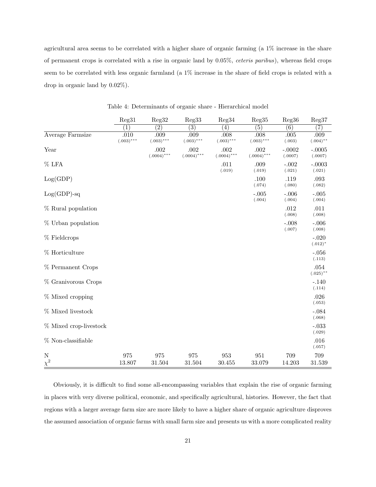agricultural area seems to be correlated with a higher share of organic farming (a 1% increase in the share of permanent crops is correlated with a rise in organic land by 0.05%, ceteris paribus), whereas field crops seem to be correlated with less organic farmland (a 1% increase in the share of field crops is related with a drop in organic land by 0.02%).

|                         | Reg31                | Reg32                 | Reg33                 | Reg34                 | Reg35                 | Reg36               | Reg37                 |
|-------------------------|----------------------|-----------------------|-----------------------|-----------------------|-----------------------|---------------------|-----------------------|
|                         | (1)                  | $\overline{(2)}$      | $\overline{(3)}$      | $\left( 4\right)$     | $\overline{(5)}$      | $\overline{(6)}$    | (7)                   |
| Average Farmsize        | .010<br>$(.003)$ *** | .009<br>$(.003)$ ***  | .009<br>$(.003)$ ***  | .008<br>$(.003)$ ***  | .008<br>$(.003)$ ***  | .005<br>(.003)      | .009<br>$(.004)$ **   |
| Year                    |                      | .002<br>$(.0004)$ *** | .002<br>$(.0004)$ *** | .002<br>$(.0004)$ *** | .002<br>$(.0004)$ *** | $-.0002$<br>(.0007) | $-.0005$<br>(.0007)   |
| $%$ LFA                 |                      |                       |                       | .011<br>(.019)        | .009<br>(.019)        | $-.002$<br>(.021)   | $-.0003$<br>(.021)    |
| Log(GDP)                |                      |                       |                       |                       | .100<br>(.074)        | .119<br>(.080)      | .093<br>(.082)        |
| $Log(GDP)$ -sq          |                      |                       |                       |                       | $-.005$<br>(.004)     | $-.006$<br>(.004)   | $-.005$<br>(.004)     |
| % Rural population      |                      |                       |                       |                       |                       | .012<br>(.008)      | .011<br>(.008)        |
| % Urban population      |                      |                       |                       |                       |                       | $-.008$<br>(.007)   | $-.006$<br>(.008)     |
| $%$ Fieldcrops          |                      |                       |                       |                       |                       |                     | $-.020$<br>$(.012)^*$ |
| % Horticulture          |                      |                       |                       |                       |                       |                     | $-.056$<br>(.113)     |
| % Permanent Crops       |                      |                       |                       |                       |                       |                     | .054<br>$(.025)$ **   |
| % Granivorous Crops     |                      |                       |                       |                       |                       |                     | $-.140$<br>(.114)     |
| % Mixed cropping        |                      |                       |                       |                       |                       |                     | .026<br>(.053)        |
| % Mixed livestock       |                      |                       |                       |                       |                       |                     | $-.084$<br>(.068)     |
| % Mixed crop-livestock  |                      |                       |                       |                       |                       |                     | $-.033$<br>(.029)     |
| % Non-classifiable      |                      |                       |                       |                       |                       |                     | .016<br>(.057)        |
| $\mathbf N$<br>$\chi^2$ | 975<br>13.807        | 975<br>31.504         | 975<br>31.504         | 953<br>30.455         | 951<br>33.079         | 709<br>14.203       | 709<br>31.539         |

Table 4: Determinants of organic share - Hierarchical model

Obviously, it is difficult to find some all-encompassing variables that explain the rise of organic farming in places with very diverse political, economic, and specifically agricultural, histories. However, the fact that regions with a larger average farm size are more likely to have a higher share of organic agriculture disproves the assumed association of organic farms with small farm size and presents us with a more complicated reality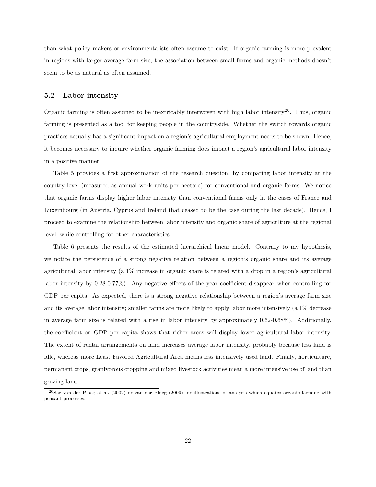than what policy makers or environmentalists often assume to exist. If organic farming is more prevalent in regions with larger average farm size, the association between small farms and organic methods doesn't seem to be as natural as often assumed.

#### 5.2 Labor intensity

Organic farming is often assumed to be inextricably interwoven with high labor intensity<sup>20</sup>. Thus, organic farming is presented as a tool for keeping people in the countryside. Whether the switch towards organic practices actually has a significant impact on a region's agricultural employment needs to be shown. Hence, it becomes necessary to inquire whether organic farming does impact a region's agricultural labor intensity in a positive manner.

Table 5 provides a first approximation of the research question, by comparing labor intensity at the country level (measured as annual work units per hectare) for conventional and organic farms. We notice that organic farms display higher labor intensity than conventional farms only in the cases of France and Luxembourg (in Austria, Cyprus and Ireland that ceased to be the case during the last decade). Hence, I proceed to examine the relationship between labor intensity and organic share of agriculture at the regional level, while controlling for other characteristics.

Table 6 presents the results of the estimated hierarchical linear model. Contrary to my hypothesis, we notice the persistence of a strong negative relation between a region's organic share and its average agricultural labor intensity (a 1% increase in organic share is related with a drop in a region's agricultural labor intensity by 0.28-0.77%). Any negative effects of the year coefficient disappear when controlling for GDP per capita. As expected, there is a strong negative relationship between a region's average farm size and its average labor intensity; smaller farms are more likely to apply labor more intensively (a 1% decrease in average farm size is related with a rise in labor intensity by approximately 0.62-0.68%). Additionally, the coefficient on GDP per capita shows that richer areas will display lower agricultural labor intensity. The extent of rental arrangements on land increases average labor intensity, probably because less land is idle, whereas more Least Favored Agricultural Area means less intensively used land. Finally, horticulture, permanent crops, granivorous cropping and mixed livestock activities mean a more intensive use of land than

grazing land.

 $^{20}$ See van der Ploeg et al. (2002) or van der Ploeg (2009) for illustrations of analysis which equates organic farming with peasant processes.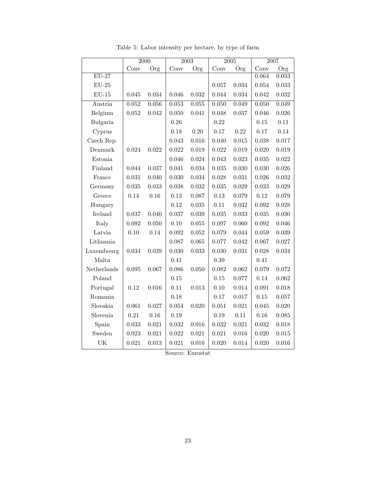|                    | $\overline{2000}$ |          |       | $\overline{2003}$ |       | $\overline{2005}$ | 2007        |          |
|--------------------|-------------------|----------|-------|-------------------|-------|-------------------|-------------|----------|
|                    | Conv              | Org      | Conv  | Org               | Conv  | Org               | Conv        | Org      |
| $\overline{EU-27}$ |                   |          |       |                   |       |                   | 0.064       | 0.033    |
| $EU-25$            |                   |          |       |                   | 0.057 | 0.034             | 0.054       | 0.033    |
| $EU-15$            | 0.045             | 0.034    | 0.046 | 0.032             | 0.044 | 0.034             | 0.042       | 0.032    |
| Austria            | $\,0.052\,$       | 0.056    | 0.053 | 0.055             | 0.050 | 0.049             | 0.050       | 0.049    |
| Belgium            | 0.052             | 0.042    | 0.050 | 0.041             | 0.048 | 0.037             | 0.046       | 0.026    |
| Bulgaria           |                   |          | 0.26  |                   | 0.22  |                   | 0.15        | $0.11\,$ |
| Cyprus             |                   |          | 0.18  | 0.20              | 0.17  | 0.22              | 0.17        | 0.14     |
| Czech Rep.         |                   |          | 0.043 | 0.016             | 0.040 | 0.015             | 0.038       | 0.017    |
| Denmark            | 0.024             | 0.022    | 0.022 | 0.019             | 0.022 | 0.019             | 0.020       | 0.019    |
| Estonia            |                   |          | 0.046 | 0.024             | 0.043 | 0.023             | $\,0.035\,$ | 0.022    |
| Finland            | 0.044             | 0.037    | 0.041 | 0.034             | 0.035 | 0.030             | 0.030       | 0.026    |
| France             | 0.031             | 0.040    | 0.030 | 0.034             | 0.028 | 0.031             | 0.026       | 0.032    |
| Germany            | 0.035             | 0.033    | 0.038 | 0.032             | 0.035 | 0.029             | 0.033       | 0.029    |
| Greece             | 0.14              | 0.16     | 0.13  | 0.087             | 0.13  | 0.079             | $0.12\,$    | 0.079    |
| Hungary            |                   |          | 0.12  | 0.035             | 0.11  | 0.032             | 0.092       | 0.028    |
| Ireland            | 0.037             | 0.040    | 0.037 | 0.039             | 0.035 | 0.033             | 0.035       | 0.030    |
| Italy              | $\,0.092\,$       | 0.050    | 0.10  | 0.055             | 0.097 | 0.060             | 0.092       | 0.046    |
| Latvia             | 0.10              | 0.14     | 0.092 | 0.052             | 0.079 | 0.044             | 0.059       | 0.039    |
| Lithuania          |                   |          | 0.087 | 0.065             | 0.077 | 0.042             | 0.067       | 0.027    |
| Luxembourg         | 0.034             | 0.039    | 0.030 | 0.033             | 0.030 | 0.031             | 0.028       | 0.034    |
| Malta              |                   |          | 0.41  |                   | 0.39  |                   | 0.41        |          |
| Netherlands        | 0.095             | 0.067    | 0.086 | 0.050             | 0.082 | 0.062             | 0.079       | 0.072    |
| Poland             |                   |          | 0.15  |                   | 0.15  | 0.077             | 0.14        | 0.062    |
| Portugal           | 0.12              | 0.016    | 0.11  | 0.013             | 0.10  | 0.014             | $\,0.091\,$ | 0.018    |
| Romania            |                   |          | 0.18  |                   | 0.17  | 0.017             | $0.15\,$    | 0.057    |
| Slovakia           | 0.061             | 0.027    | 0.054 | 0.020             | 0.051 | 0.021             | 0.045       | 0.020    |
| Slovenia           | $\rm 0.21$        | $0.16\,$ | 0.19  |                   | 0.19  | $0.11\,$          | $0.16\,$    | 0.085    |
| Spain              | 0.033             | 0.021    | 0.032 | 0.016             | 0.032 | 0.021             | 0.032       | 0.018    |
| Sweden             | 0.023             | 0.021    | 0.022 | 0.021             | 0.021 | 0.016             | 0.020       | 0.015    |
| UK                 | 0.021             | 0.013    | 0.021 | 0.016             | 0.020 | 0.014             | 0.020       | 0.016    |

Table 5: Labor intensity per hectare, by type of farm

Source: Eurostat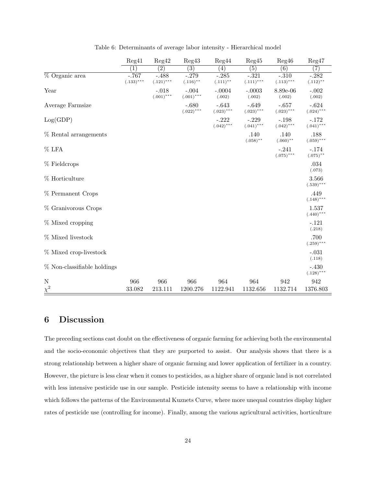|                             | Reg41                  | Reg42                   | Reg43                   | Reg44                   | Reg45                   | Reg46                   | Reg47                   |
|-----------------------------|------------------------|-------------------------|-------------------------|-------------------------|-------------------------|-------------------------|-------------------------|
|                             | $\left( 1\right)$      | $\overline{(2)}$        | $\left( 3\right)$       | $\left( 4\right)$       | (5)                     | (6)                     | (7)                     |
| % Organic area              | $-.767$<br>$(.133)***$ | $-.488$<br>$(.121)$ *** | $-.279$<br>$(.116)$ **  | $-.285$<br>$(.111)$ **  | $-.321$<br>$(.111)$ *** | $-.310$<br>$(.113)$ *** | $-.282$<br>$(.112)$ **  |
| Year                        |                        | $-.018$<br>$(.001)$ *** | $-.004$<br>$(.001)$ *** | $-.0004$<br>(.002)      | $-.0003$<br>(.002)      | 8.89e-06<br>(.002)      | $-.002$<br>(.002)       |
| Average Farmsize            |                        |                         | $-.680$<br>$(.022)$ *** | $-.643$<br>$(.023)$ *** | $-.649$<br>$(.023)$ *** | $-.657$<br>$(.023)$ *** | $-.624$<br>$(.024)$ *** |
| Log(GDP)                    |                        |                         |                         | $-.222$<br>$(.042)$ *** | $-.229$<br>$(.041)$ *** | $-.198$<br>$(.042)$ *** | $-.172$<br>$(.041)$ *** |
| % Rental arrangements       |                        |                         |                         |                         | .140<br>$(.058)$ **     | $.140\,$<br>$(.060)$ ** | .188<br>$(.059)$ ***    |
| $%$ LFA                     |                        |                         |                         |                         |                         | $-.241$<br>$(.075)$ *** | $-.174$<br>$(.075)$ **  |
| $%$ Fieldcrops              |                        |                         |                         |                         |                         |                         | .034<br>(.073)          |
| % Horticulture              |                        |                         |                         |                         |                         |                         | 3.566<br>$(.539)$ ***   |
| % Permanent Crops           |                        |                         |                         |                         |                         |                         | .449<br>$(.148)$ ***    |
| % Granivorous Crops         |                        |                         |                         |                         |                         |                         | 1.537<br>$(.440)$ ***   |
| % Mixed cropping            |                        |                         |                         |                         |                         |                         | $-.121$<br>(.218)       |
| % Mixed livestock           |                        |                         |                         |                         |                         |                         | .700<br>$(.259)$ ***    |
| % Mixed crop-livestock      |                        |                         |                         |                         |                         |                         | $-.031$<br>(.118)       |
| % Non-classifiable holdings |                        |                         |                         |                         |                         |                         | $-.430$<br>$(.128)$ *** |
| $\mathbf N$<br>$\chi^2$     | 966<br>33.082          | 966<br>213.111          | 966<br>1200.276         | 964<br>1122.941         | 964<br>1132.656         | 942<br>1132.714         | 942<br>1376.803         |

Table 6: Determinants of average labor intensity - Hierarchical model

## 6 Discussion

The preceding sections cast doubt on the effectiveness of organic farming for achieving both the environmental and the socio-economic objectives that they are purported to assist. Our analysis shows that there is a strong relationship between a higher share of organic farming and lower application of fertilizer in a country. However, the picture is less clear when it comes to pesticides, as a higher share of organic land is not correlated with less intensive pesticide use in our sample. Pesticide intensity seems to have a relationship with income which follows the patterns of the Environmental Kuznets Curve, where more unequal countries display higher rates of pesticide use (controlling for income). Finally, among the various agricultural activities, horticulture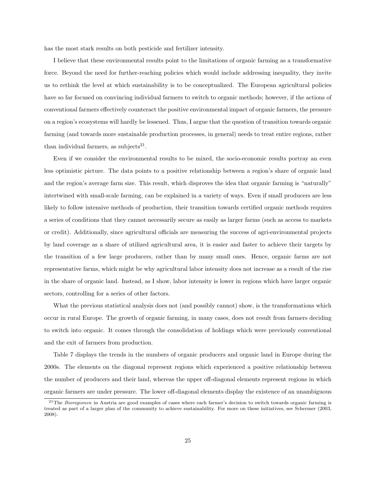has the most stark results on both pesticide and fertilizer intensity.

I believe that these environmental results point to the limitations of organic farming as a transformative force. Beyond the need for further-reaching policies which would include addressing inequality, they invite us to rethink the level at which sustainability is to be conceptualized. The European agricultural policies have so far focused on convincing individual farmers to switch to organic methods; however, if the actions of conventional farmers effectively counteract the positive environmental impact of organic farmers, the pressure on a region's ecosystems will hardly be lessened. Thus, I argue that the question of transition towards organic farming (and towards more sustainable production processes, in general) needs to treat entire regions, rather than individual farmers, as subjects<sup>21</sup>.

Even if we consider the environmental results to be mixed, the socio-economic results portray an even less optimistic picture. The data points to a positive relationship between a region's share of organic land and the region's average farm size. This result, which disproves the idea that organic farming is "naturally" intertwined with small-scale farming, can be explained in a variety of ways. Even if small producers are less likely to follow intensive methods of production, their transition towards certified organic methods requires a series of conditions that they cannot necessarily secure as easily as larger farms (such as access to markets or credit). Additionally, since agricultural officials are measuring the success of agri-environmental projects by land coverage as a share of utilized agricultural area, it is easier and faster to achieve their targets by the transition of a few large producers, rather than by many small ones. Hence, organic farms are not representative farms, which might be why agricultural labor intensity does not increase as a result of the rise in the share of organic land. Instead, as I show, labor intensity is lower in regions which have larger organic sectors, controlling for a series of other factors.

What the previous statistical analysis does not (and possibly cannot) show, is the transformations which occur in rural Europe. The growth of organic farming, in many cases, does not result from farmers deciding to switch into organic. It comes through the consolidation of holdings which were previously conventional and the exit of farmers from production.

Table 7 displays the trends in the numbers of organic producers and organic land in Europe during the 2000s. The elements on the diagonal represent regions which experienced a positive relationship between the number of producers and their land, whereas the upper off-diagonal elements represent regions in which organic farmers are under pressure. The lower off-diagonal elements display the existence of an unambiguous

 $21$ The *Bioregionen* in Austria are good examples of cases where each farmer's decision to switch towards organic farming is treated as part of a larger plan of the community to achieve sustainability. For more on these initiatives, see Schermer (2003, 2008).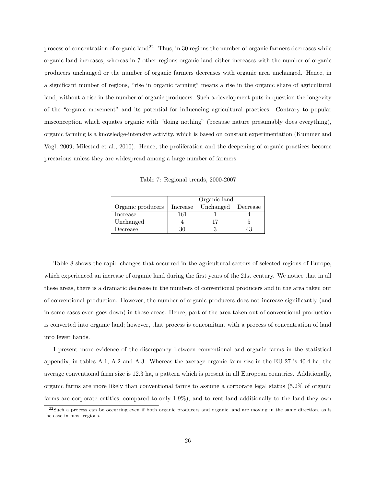process of concentration of organic land<sup>22</sup>. Thus, in 30 regions the number of organic farmers decreases while organic land increases, whereas in 7 other regions organic land either increases with the number of organic producers unchanged or the number of organic farmers decreases with organic area unchanged. Hence, in a significant number of regions, "rise in organic farming" means a rise in the organic share of agricultural land, without a rise in the number of organic producers. Such a development puts in question the longevity of the "organic movement" and its potential for influencing agricultural practices. Contrary to popular misconception which equates organic with "doing nothing" (because nature presumably does everything), organic farming is a knowledge-intensive activity, which is based on constant experimentation (Kummer and Vogl, 2009; Milestad et al., 2010). Hence, the proliferation and the deepening of organic practices become precarious unless they are widespread among a large number of farmers.

Table 7: Regional trends, 2000-2007

|                   | Organic land |                    |  |  |  |  |  |
|-------------------|--------------|--------------------|--|--|--|--|--|
| Organic producers | Increase     | Unchanged Decrease |  |  |  |  |  |
| Increase          | 161          |                    |  |  |  |  |  |
| Unchanged         |              |                    |  |  |  |  |  |
| Decrease          | 36           |                    |  |  |  |  |  |

Table 8 shows the rapid changes that occurred in the agricultural sectors of selected regions of Europe, which experienced an increase of organic land during the first years of the 21st century. We notice that in all these areas, there is a dramatic decrease in the numbers of conventional producers and in the area taken out of conventional production. However, the number of organic producers does not increase significantly (and in some cases even goes down) in those areas. Hence, part of the area taken out of conventional production is converted into organic land; however, that process is concomitant with a process of concentration of land into fewer hands.

I present more evidence of the discrepancy between conventional and organic farms in the statistical appendix, in tables A.1, A.2 and A.3. Whereas the average organic farm size in the EU-27 is 40.4 ha, the average conventional farm size is 12.3 ha, a pattern which is present in all European countries. Additionally, organic farms are more likely than conventional farms to assume a corporate legal status (5.2% of organic farms are corporate entities, compared to only 1.9%), and to rent land additionally to the land they own

 $22$ Such a process can be occurring even if both organic producers and organic land are moving in the same direction, as is the case in most regions.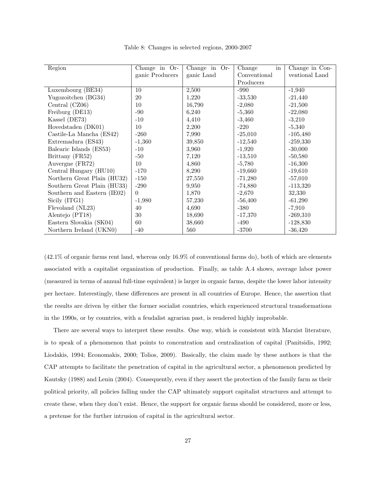| Region                      | Change in Or-   | Change in Or- | Change<br>in | Change in Con- |
|-----------------------------|-----------------|---------------|--------------|----------------|
|                             | ganic Producers | ganic Land    | Conventional | ventional Land |
|                             |                 |               | Producers    |                |
| Luxembourg (BE34)           | 10              | 2,500         | $-990$       | $-1,940$       |
| Yugozoitchen (BG34)         | 20              | 1,220         | $-33,530$    | $-21,440$      |
| Central (CZ06)              | 10              | 16,790        | $-2,080$     | $-21,500$      |
| Freiburg (DE13)             | $-90$           | 6,240         | $-5,360$     | $-22,080$      |
| Kassel (DE73)               | $-10$           | 4,410         | $-3,460$     | $-3,210$       |
| Hovedstaden (DK01)          | 10              | 2,200         | $-220$       | $-5,340$       |
| Castile-La Mancha (ES42)    | $-260$          | 7,990         | $-25,010$    | $-105,480$     |
| Extremadura (ES43)          | $-1,360$        | 39,850        | $-12,540$    | $-259,330$     |
| Balearic Islands (ES53)     | $-10$           | 3,960         | $-1,920$     | $-30,000$      |
| Brittany (FR52)             | $-50$           | 7,120         | $-13,510$    | $-50,580$      |
| Auvergne (FR72)             | 10              | 4,860         | $-5,780$     | $-16,300$      |
| Central Hungary (HU10)      | $-170$          | 8,290         | $-19,660$    | $-19,610$      |
| Northern Great Plain (HU32) | $-150$          | 27,550        | $-71,280$    | $-57,010$      |
| Southern Great Plain (HU33) | $-290$          | 9,950         | $-74,880$    | $-113,320$     |
| Southern and Eastern (IE02) | $\Omega$        | 1,870         | $-2,670$     | 32,330         |
| Sicily (ITG1)               | $-1,980$        | 57,230        | $-56,400$    | $-61,290$      |
| Flevoland (NL23)            | 40              | 4,690         | $-380$       | $-7,910$       |
| Alentejo (PT18)             | 30              | 18,690        | $-17,370$    | $-269,310$     |
| Eastern Slovakia (SK04)     | 60              | 38,660        | $-490$       | $-128,830$     |
| Northern Ireland (UKN0)     | $-40$           | 560           | $-3700$      | $-36,420$      |

Table 8: Changes in selected regions, 2000-2007

(42.1% of organic farms rent land, whereas only 16.9% of conventional farms do), both of which are elements associated with a capitalist organization of production. Finally, as table A.4 shows, average labor power (measured in terms of annual full-time equivalent) is larger in organic farms, despite the lower labor intensity per hectare. Interestingly, these differences are present in all countries of Europe. Hence, the assertion that the results are driven by either the former socialist countries, which experienced structural transformations in the 1990s, or by countries, with a feudalist agrarian past, is rendered highly improbable.

There are several ways to interpret these results. One way, which is consistent with Marxist literature, is to speak of a phenomenon that points to concentration and centralization of capital (Panitsidis, 1992; Liodakis, 1994; Economakis, 2000; Tolios, 2009). Basically, the claim made by these authors is that the CAP attempts to facilitate the penetration of capital in the agricultural sector, a phenomenon predicted by Kautsky (1988) and Lenin (2004). Consequently, even if they assert the protection of the family farm as their political priority, all policies falling under the CAP ultimately support capitalist structures and attempt to create these, when they don't exist. Hence, the support for organic farms should be considered, more or less, a pretense for the further intrusion of capital in the agricultural sector.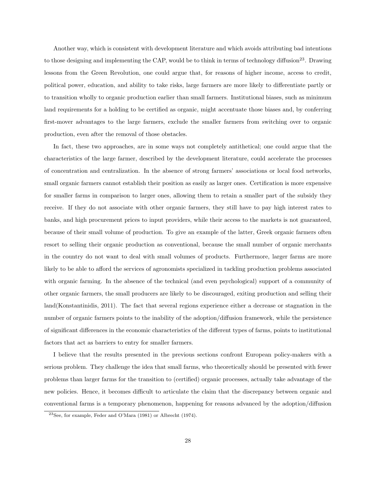Another way, which is consistent with development literature and which avoids attributing bad intentions to those designing and implementing the CAP, would be to think in terms of technology diffusion<sup>23</sup>. Drawing lessons from the Green Revolution, one could argue that, for reasons of higher income, access to credit, political power, education, and ability to take risks, large farmers are more likely to differentiate partly or to transition wholly to organic production earlier than small farmers. Institutional biases, such as minimum land requirements for a holding to be certified as organic, might accentuate those biases and, by conferring first-mover advantages to the large farmers, exclude the smaller farmers from switching over to organic production, even after the removal of those obstacles.

In fact, these two approaches, are in some ways not completely antithetical; one could argue that the characteristics of the large farmer, described by the development literature, could accelerate the processes of concentration and centralization. In the absence of strong farmers' associations or local food networks, small organic farmers cannot establish their position as easily as larger ones. Certification is more expensive for smaller farms in comparison to larger ones, allowing them to retain a smaller part of the subsidy they receive. If they do not associate with other organic farmers, they still have to pay high interest rates to banks, and high procurement prices to input providers, while their access to the markets is not guaranteed, because of their small volume of production. To give an example of the latter, Greek organic farmers often resort to selling their organic production as conventional, because the small number of organic merchants in the country do not want to deal with small volumes of products. Furthermore, larger farms are more likely to be able to afford the services of agronomists specialized in tackling production problems associated with organic farming. In the absence of the technical (and even psychological) support of a community of other organic farmers, the small producers are likely to be discouraged, exiting production and selling their land(Konstantinidis, 2011). The fact that several regions experience either a decrease or stagnation in the number of organic farmers points to the inability of the adoption/diffusion framework, while the persistence of significant differences in the economic characteristics of the different types of farms, points to institutional factors that act as barriers to entry for smaller farmers.

I believe that the results presented in the previous sections confront European policy-makers with a serious problem. They challenge the idea that small farms, who theoretically should be presented with fewer problems than larger farms for the transition to (certified) organic processes, actually take advantage of the new policies. Hence, it becomes difficult to articulate the claim that the discrepancy between organic and conventional farms is a temporary phenomenon, happening for reasons advanced by the adoption/diffusion

<sup>23</sup>See, for example, Feder and O'Mara (1981) or Albrecht (1974).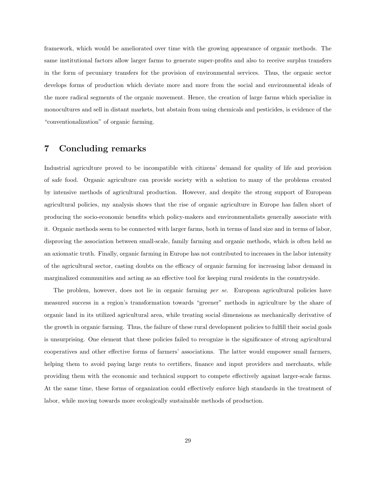framework, which would be ameliorated over time with the growing appearance of organic methods. The same institutional factors allow larger farms to generate super-profits and also to receive surplus transfers in the form of pecuniary transfers for the provision of environmental services. Thus, the organic sector develops forms of production which deviate more and more from the social and environmental ideals of the more radical segments of the organic movement. Hence, the creation of large farms which specialize in monocultures and sell in distant markets, but abstain from using chemicals and pesticides, is evidence of the "conventionalization" of organic farming.

### 7 Concluding remarks

Industrial agriculture proved to be incompatible with citizens' demand for quality of life and provision of safe food. Organic agriculture can provide society with a solution to many of the problems created by intensive methods of agricultural production. However, and despite the strong support of European agricultural policies, my analysis shows that the rise of organic agriculture in Europe has fallen short of producing the socio-economic benefits which policy-makers and environmentalists generally associate with it. Organic methods seem to be connected with larger farms, both in terms of land size and in terms of labor, disproving the association between small-scale, family farming and organic methods, which is often held as an axiomatic truth. Finally, organic farming in Europe has not contributed to increases in the labor intensity of the agricultural sector, casting doubts on the efficacy of organic farming for increasing labor demand in marginalized communities and acting as an effective tool for keeping rural residents in the countryside.

The problem, however, does not lie in organic farming per se. European agricultural policies have measured success in a region's transformation towards "greener" methods in agriculture by the share of organic land in its utilized agricultural area, while treating social dimensions as mechanically derivative of the growth in organic farming. Thus, the failure of these rural development policies to fulfill their social goals is unsurprising. One element that these policies failed to recognize is the significance of strong agricultural cooperatives and other effective forms of farmers' associations. The latter would empower small farmers, helping them to avoid paying large rents to certifiers, finance and input providers and merchants, while providing them with the economic and technical support to compete effectively against larger-scale farms. At the same time, these forms of organization could effectively enforce high standards in the treatment of labor, while moving towards more ecologically sustainable methods of production.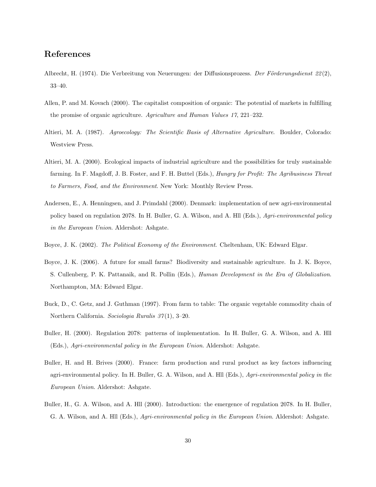## References

- Albrecht, H. (1974). Die Verbreitung von Neuerungen: der Diffusionsprozess. Der Förderungsdienst  $22(2)$ , 33–40.
- Allen, P. and M. Kovach (2000). The capitalist composition of organic: The potential of markets in fulfilling the promise of organic agriculture. Agriculture and Human Values 17, 221–232.
- Altieri, M. A. (1987). Agroecology: The Scientific Basis of Alternative Agriculture. Boulder, Colorado: Westview Press.
- Altieri, M. A. (2000). Ecological impacts of industrial agriculture and the possibilities for truly sustainable farming. In F. Magdoff, J. B. Foster, and F. H. Buttel (Eds.), *Hungry for Profit: The Agribusiness Threat* to Farmers, Food, and the Environment. New York: Monthly Review Press.
- Andersen, E., A. Henningsen, and J. Primdahl (2000). Denmark: implementation of new agri-environmental policy based on regulation 2078. In H. Buller, G. A. Wilson, and A. Hll (Eds.), Agri-environmental policy in the European Union. Aldershot: Ashgate.
- Boyce, J. K. (2002). The Political Economy of the Environment. Cheltenham, UK: Edward Elgar.
- Boyce, J. K. (2006). A future for small farms? Biodiversity and sustainable agriculture. In J. K. Boyce, S. Cullenberg, P. K. Pattanaik, and R. Pollin (Eds.), Human Development in the Era of Globalization. Northampton, MA: Edward Elgar.
- Buck, D., C. Getz, and J. Guthman (1997). From farm to table: The organic vegetable commodity chain of Northern California. Sociologia Ruralis 37 (1), 3–20.
- Buller, H. (2000). Regulation 2078: patterns of implementation. In H. Buller, G. A. Wilson, and A. Hll (Eds.), Agri-environmental policy in the European Union. Aldershot: Ashgate.
- Buller, H. and H. Brives (2000). France: farm production and rural product as key factors influencing agri-environmental policy. In H. Buller, G. A. Wilson, and A. Hll (Eds.), Agri-environmental policy in the European Union. Aldershot: Ashgate.
- Buller, H., G. A. Wilson, and A. Hll (2000). Introduction: the emergence of regulation 2078. In H. Buller, G. A. Wilson, and A. Hll (Eds.), Agri-environmental policy in the European Union. Aldershot: Ashgate.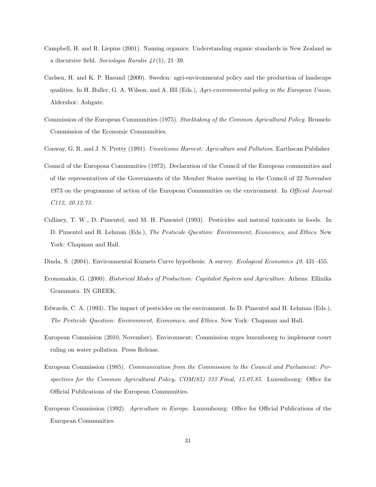- Campbell, H. and R. Liepins (2001). Naming organics: Understanding organic standards in New Zealand as a discursive field. Sociologia Ruralis  $41(1)$ , 21–39.
- Carlsen, H. and K. P. Hasund (2000). Sweden: agri-environmental policy and the production of landscape qualities. In H. Buller, G. A. Wilson, and A. Hll (Eds.), Agri-environmental policy in the European Union. Aldershot: Ashgate.
- Commission of the European Communities (1975). Stocktaking of the Common Agricultural Policy. Brussels: Commission of the Economic Communities.
- Conway, G. R. and J. N. Pretty (1991). Unwelcome Harvest: Agriculture and Pollution. Earthscan Publisher.
- Council of the European Communities (1973). Declaration of the Council of the European communities and of the representatives of the Governments of the Member States meeting in the Council of 22 November 1973 on the programme of action of the European Communities on the environment. In *Official Journal* C112, 20.12.73.
- Culliney, T. W., D. Pimentel, and M. H. Pimentel (1993). Pesticides and natural toxicants in foods. In D. Pimentel and H. Lehman (Eds.), The Pesticide Question: Environment, Economics, and Ethics. New York: Chapman and Hall.
- Dinda, S. (2004). Environmental Kuznets Curve hypothesis: A survey. Ecological Economics 49, 431–455.
- Economakis, G. (2000). Historical Modes of Production: Capitalist System and Agriculture. Athens: Ellinika Grammata. IN GREEK.
- Edwards, C. A. (1993). The impact of pesticides on the environment. In D. Pimentel and H. Lehman (Eds.), The Pesticide Question: Environment, Economics, and Ethics. New York: Chapman and Hall.
- European Commision (2010, November). Environment: Commission urges luxembourg to implement court ruling on water pollution. Press Release.
- European Commission (1985). Communication from the Commission to the Council and Parliament: Perspectives for the Common Agricultural Policy. COM(85) 333 Final, 15.07.85. Luxembourg: Office for Official Publications of the European Communities.
- European Commission (1992). Agriculture in Europe. Luxembourg: Office for Official Publications of the European Communities.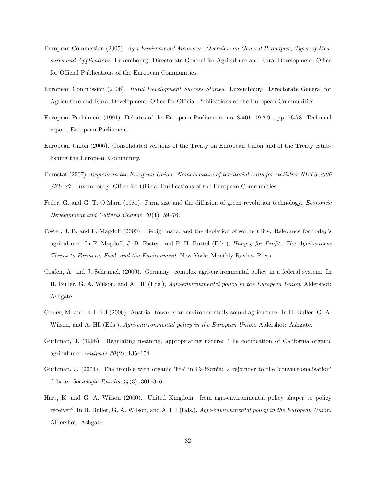- European Commission (2005). Agri-Environment Measures: Overview on General Principles, Types of Measures and Applications. Luxembourg: Directorate General for Agriculture and Rural Development. Office for Official Publications of the European Communities.
- European Commission (2006). Rural Development Success Stories. Luxembourg: Directorate General for Agriculture and Rural Development. Office for Official Publications of the European Communities.
- European Parliament (1991). Debates of the European Parliament. no. 3-401, 19.2.91, pp. 76-78. Technical report, European Parliament.
- European Union (2006). Consolidated versions of the Treaty on European Union and of the Treaty establishing the European Community.
- Eurostat (2007). Regions in the European Union: Nomenclature of territorial units for statistics NUTS 2006  $/EU$ -27. Luxembourg: Office for Official Publications of the European Communities.
- Feder, G. and G. T. O'Mara (1981). Farm size and the diffusion of green revolution technology. Economic Development and Cultural Change 30 (1), 59–76.
- Foster, J. B. and F. Magdoff (2000). Liebig, marx, and the depletion of soil fertility: Relevance for today's agriculture. In F. Magdoff, J. B. Foster, and F. H. Buttel (Eds.), *Hungry for Profit: The Agribusiness* Threat to Farmers, Food, and the Environment. New York: Monthly Review Press.
- Grafen, A. and J. Schramek (2000). Germany: complex agri-environmental policy in a federal system. In H. Buller, G. A. Wilson, and A. Hll (Eds.), Agri-environmental policy in the European Union. Aldershot: Ashgate.
- Groier, M. and E. Loibl (2000). Austria: towards an environmentally sound agriculture. In H. Buller, G. A. Wilson, and A. Hll (Eds.), Agri-environmental policy in the European Union. Aldershot: Ashgate.
- Guthman, J. (1998). Regulating meaning, appropriating nature: The codification of California organic agriculture. Antipode  $30(2)$ , 135-154.
- Guthman, J. (2004). The trouble with organic 'lite' in California: a rejoinder to the 'conventionalisation' debate. Sociologia Ruralis  $44(3)$ , 301-316.
- Hart, K. and G. A. Wilson (2000). United Kingdom: from agri-environmental policy shaper to policy receiver? In H. Buller, G. A. Wilson, and A. Hll (Eds.), Agri-environmental policy in the European Union. Aldershot: Ashgate.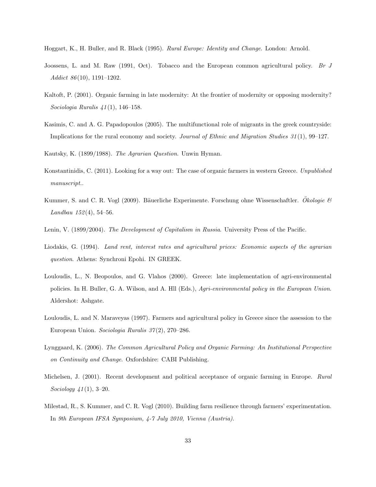- Hoggart, K., H. Buller, and R. Black (1995). Rural Europe: Identity and Change. London: Arnold.
- Joossens, L. and M. Raw (1991, Oct). Tobacco and the European common agricultural policy. Br J Addict 86 (10), 1191–1202.
- Kaltoft, P. (2001). Organic farming in late modernity: At the frontier of modernity or opposing modernity? Sociologia Ruralis 41 (1), 146–158.
- Kasimis, C. and A. G. Papadopoulos (2005). The multifunctional role of migrants in the greek countryside: Implications for the rural economy and society. Journal of Ethnic and Migration Studies 31 (1), 99–127.

Kautsky, K. (1899/1988). The Agrarian Question. Unwin Hyman.

- Konstantinidis, C. (2011). Looking for a way out: The case of organic farmers in western Greece. Unpublished manuscript..
- Kummer, S. and C. R. Vogl (2009). Bäuerliche Experimente. Forschung ohne Wissenschaftler. Okologie  $\mathcal{B}$ Landbau  $152(4)$ , 54-56.
- Lenin, V. (1899/2004). The Development of Capitalism in Russia. University Press of the Pacific.
- Liodakis, G. (1994). Land rent, interest rates and agricultural prices: Economic aspects of the agrarian question. Athens: Synchroni Epohi. IN GREEK.
- Louloudis, L., N. Beopoulos, and G. Vlahos (2000). Greece: late implementation of agri-environmental policies. In H. Buller, G. A. Wilson, and A. Hll (Eds.), Agri-environmental policy in the European Union. Aldershot: Ashgate.
- Louloudis, L. and N. Maraveyas (1997). Farmers and agricultural policy in Greece since the assession to the European Union. Sociologia Ruralis 37 (2), 270–286.
- Lynggaard, K. (2006). The Common Agricultural Policy and Organic Farming: An Institutional Perspective on Continuity and Change. Oxfordshire: CABI Publishing.
- Michelsen, J. (2001). Recent development and political acceptance of organic farming in Europe. Rural Sociology  $41(1)$ , 3-20.
- Milestad, R., S. Kummer, and C. R. Vogl (2010). Building farm resilience through farmers' experimentation. In 9th European IFSA Symposium, 4-7 July 2010, Vienna (Austria).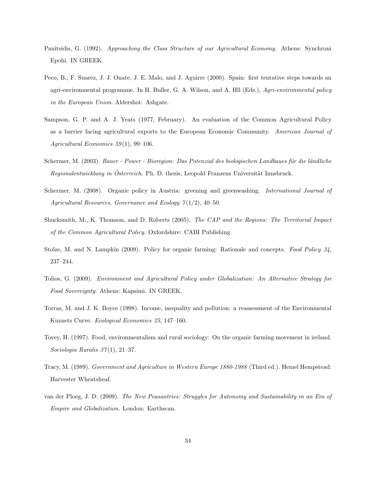- Panitsidis, G. (1992). Approaching the Class Structure of our Agricultural Economy. Athens: Synchroni Epohi. IN GREEK.
- Peco, B., F. Suarez, J. J. Onate, J. E. Malo, and J. Aguirre (2000). Spain: first tentative steps towards an agri-environmental programme. In H. Buller, G. A. Wilson, and A. Hll (Eds.), Agri-environmental policy in the European Union. Aldershot: Ashgate.
- Sampson, G. P. and A. J. Yeats (1977, February). An evaluation of the Common Agricultural Policy as a barrier facing agricultural exports to the European Economic Community. American Journal of Agricultural Economics  $59(1)$ , 99-106.
- Schermer, M. (2003). Bauer Power Bioregion: Das Potenzial des biologischen Landbaues für die ländliche Regionalentwicklung in Österreich. Ph. D. thesis, Leopold Franzens Universität Innsbruck.
- Schermer, M. (2008). Organic policy in Austria: greening and greenwashing. *International Journal of* Agricultural Resources, Governance and Ecology  $7(1/2)$ , 40-50.
- Shucksmith, M., K. Thomson, and D. Roberts (2005). The CAP and the Regions: The Territorial Impact of the Common Agricultural Policy. Oxfordshire: CABI Publishing.
- Stolze, M. and N. Lampkin (2009). Policy for organic farming: Rationale and concepts. Food Policy 34, 237–244.
- Tolios, G. (2009). Environment and Agricultural Policy under Globalization: An Alternative Strategy for Food Sovereignty. Athens: Kapsimi. IN GREEK.
- Torras, M. and J. K. Boyce (1998). Income, inequality and pollution: a reassessment of the Environmental Kuznets Curve. Ecological Economics 25, 147–160.
- Tovey, H. (1997). Food, environmentalism and rural sociology: On the organic farming movement in ireland. Sociologia Ruralis  $37(1)$ , 21–37.
- Tracy, M. (1989). Government and Agriculture in Western Europe 1880-1988 (Third ed.). Hemel Hempstead: Harvester Wheatsheaf.
- van der Ploeg, J. D. (2009). The New Peasantries: Struggles for Autonomy and Sustainability in an Era of Empire and Globalization. London: Earthscan.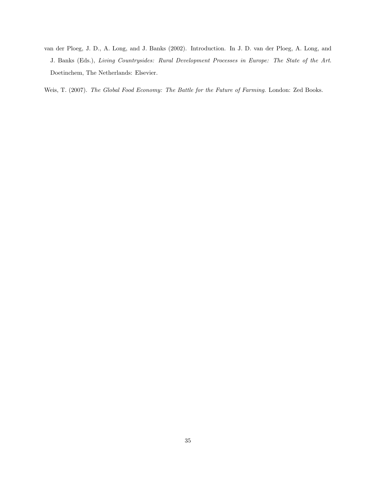van der Ploeg, J. D., A. Long, and J. Banks (2002). Introduction. In J. D. van der Ploeg, A. Long, and J. Banks (Eds.), Living Countrysides: Rural Development Processes in Europe: The State of the Art. Doetinchem, The Netherlands: Elsevier.

Weis, T. (2007). The Global Food Economy: The Battle for the Future of Farming. London: Zed Books.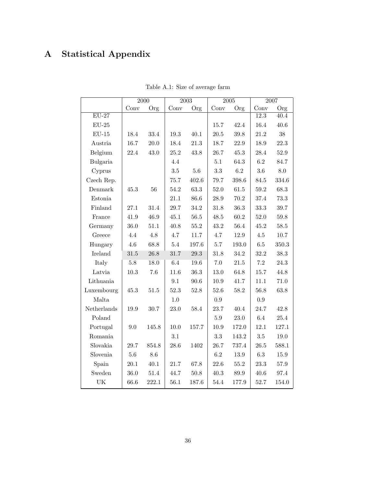## A Statistical Appendix

|                         |          | 2000     |          | 2003     |          | 2005     |                   | 2007      |  |
|-------------------------|----------|----------|----------|----------|----------|----------|-------------------|-----------|--|
|                         | Conv     | Org      | Conv     | Org      | Conv     | Org      | Conv              | Org       |  |
| $EU-27$                 |          |          |          |          |          |          | $\overline{12.3}$ | 40.4      |  |
| $\mathrm{EU}\text{-}25$ |          |          |          |          | 15.7     | 42.4     | 16.4              | $40.6\,$  |  |
| $EU-15$                 | 18.4     | 33.4     | 19.3     | 40.1     | 20.5     | 39.8     | 21.2              | $38\,$    |  |
| Austria                 | 16.7     | 20.0     | 18.4     | $21.3\,$ | 18.7     | 22.9     | 18.9              | 22.3      |  |
| Belgium                 | 22.4     | $43.0\,$ | $25.2\,$ | 43.8     | 26.7     | $45.3\,$ | 28.4              | $52.9\,$  |  |
| Bulgaria                |          |          | 4.4      |          | 5.1      | 64.3     | $6.2\,$           | 84.7      |  |
| Cyprus                  |          |          | $3.5\,$  | $5.6\,$  | $\!3.3$  | 6.2      | $3.6\,$           | 8.0       |  |
| Czech Rep.              |          |          | 75.7     | 402.6    | 79.7     | 398.6    | 84.5              | 334.6     |  |
| Denmark                 | 45.3     | 56       | $54.2\,$ | 63.3     | 52.0     | $61.5\,$ | $59.2\,$          | $68.3\,$  |  |
| Estonia $\,$            |          |          | $21.1\,$ | 86.6     | $28.9\,$ | $70.2\,$ | 37.4              | 73.3      |  |
| Finland                 | 27.1     | 31.4     | 29.7     | $34.2\,$ | 31.8     | 36.3     | 33.3              | $39.7\,$  |  |
| France                  | 41.9     | 46.9     | $45.1\,$ | $56.5\,$ | $48.5\,$ | $60.2\,$ | 52.0              | $59.8\,$  |  |
| Germany                 | 36.0     | 51.1     | 40.8     | 55.2     | 43.2     | 56.4     | 45.2              | $58.5\,$  |  |
| Greece                  | 4.4      | $4.8\,$  | 4.7      | $11.7\,$ | 4.7      | 12.9     | $4.5\,$           | $10.7\,$  |  |
| Hungary                 | 4.6      | 68.8     | $5.4\,$  | 197.6    | $5.7\,$  | 193.0    | 6.5               | $350.3\,$ |  |
| <b>Ireland</b>          | 31.5     | 26.8     | 31.7     | $29.3\,$ | 31.8     | $34.2\,$ | 32.2              | $38.3\,$  |  |
| Italy                   | $5.8\,$  | 18.0     | 6.4      | 19.6     | $7.0\,$  | $21.5\,$ | $7.2\,$           | $24.3\,$  |  |
| Latvia                  | $10.3\,$ | $7.6\,$  | 11.6     | $36.3\,$ | 13.0     | 64.8     | $15.7\,$          | 44.8      |  |
| Lithuania               |          |          | $9.1\,$  | $90.6\,$ | 10.9     | 41.7     | 11.1              | $71.0\,$  |  |
| Luxembourg              | 45.3     | 51.5     | 52.3     | $52.8\,$ | 52.6     | 58.2     | 56.8              | 63.8      |  |
| Malta                   |          |          | $1.0\,$  |          | 0.9      |          | 0.9               |           |  |
| Netherlands             | 19.9     | 30.7     | 23.0     | 58.4     | 23.7     | 40.4     | 24.7              | $42.8\,$  |  |
| Poland                  |          |          |          |          | $5.9\,$  | $23.0\,$ | $6.4\,$           | $25.4\,$  |  |
| Portugal                | 9.0      | 145.8    | $10.0\,$ | 157.7    | 10.9     | 172.0    | $12.1\,$          | 127.1     |  |
| Romania                 |          |          | $3.1\,$  |          | $3.3\,$  | 143.2    | $3.5\,$           | $19.0\,$  |  |
| Slovakia                | 29.7     | 854.8    | $28.6\,$ | 1402     | $26.7\,$ | 737.4    | $26.5\,$          | 588.1     |  |
| Slovenia                | $5.6\,$  | $8.6\,$  |          |          | $6.2\,$  | 13.9     | $6.3\,$           | $15.9\,$  |  |
| Spain                   | 20.1     | $40.1\,$ | $21.7\,$ | 67.8     | 22.6     | 55.2     | 23.3              | $57.9\,$  |  |
| Sweden                  | 36.0     | $51.4\,$ | 44.7     | $50.8\,$ | 40.3     | $89.9\,$ | 40.6              | 97.4      |  |
| UK                      | 66.6     | 222.1    | $56.1\,$ | 187.6    | 54.4     | 177.9    | 52.7              | 154.0     |  |

Table A.1: Size of average farm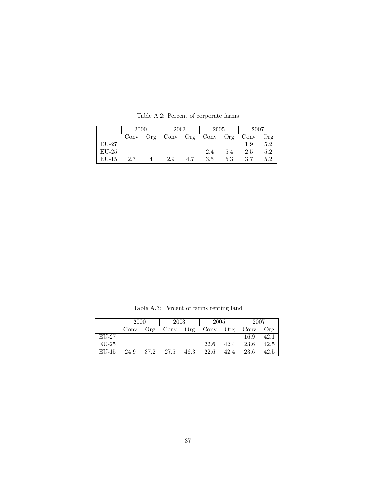|         | <b>2000</b> |     | 2003          |     | 2005 |     | 2007    |     |
|---------|-------------|-----|---------------|-----|------|-----|---------|-----|
|         | Conv        | Org | $_{\rm Conv}$ | Org | Conv | Org | Conv    | Org |
| $EU-27$ |             |     |               |     |      |     | $1.9\,$ | 5.2 |
| $EU-25$ |             |     |               |     | 2.4  | 5.4 | 2.5     | 5.2 |
| $EU-15$ | 2.7         |     | 2.9           | 4.7 | 3.5  | 5.3 | 3.7     | 5.2 |

Table A.2: Percent of corporate farms

Table A.3: Percent of farms renting land

|         | 2000 |      | 2003 |      | 2005 |      | 2007 |      |
|---------|------|------|------|------|------|------|------|------|
|         | Conv | Org  | Conv | Org  | Conv | Org  | Conv | Org  |
| $EU-27$ |      |      |      |      |      |      | 16.9 | 42.1 |
| $EU-25$ |      |      |      |      | 22.6 | 42.4 | 23.6 | 42.5 |
| $EU-15$ | 24.9 | 37.2 | 27.5 | 46.3 | 22.6 | 42.4 | 23.6 | 42.5 |